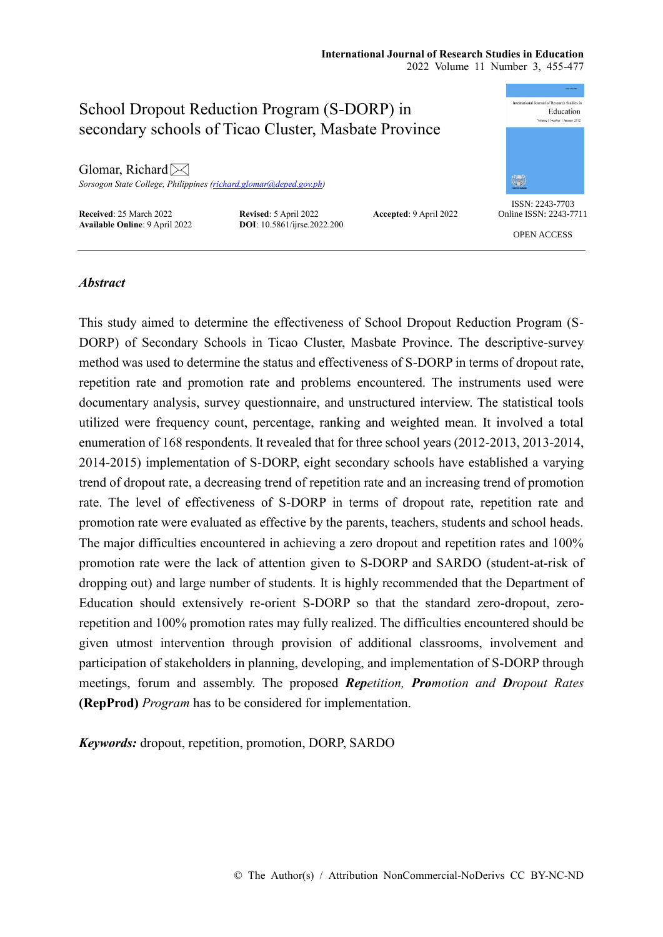# **International Journal of Research Studies in Education**

2022 Volume 11 Number 3, 455-477



## *Abstract*

This study aimed to determine the effectiveness of School Dropout Reduction Program (S-DORP) of Secondary Schools in Ticao Cluster, Masbate Province. The descriptive-survey method was used to determine the status and effectiveness of S-DORP in terms of dropout rate, repetition rate and promotion rate and problems encountered. The instruments used were documentary analysis, survey questionnaire, and unstructured interview. The statistical tools utilized were frequency count, percentage, ranking and weighted mean. It involved a total enumeration of 168 respondents. It revealed that for three school years (2012-2013, 2013-2014, 2014-2015) implementation of S-DORP, eight secondary schools have established a varying trend of dropout rate, a decreasing trend of repetition rate and an increasing trend of promotion rate. The level of effectiveness of S-DORP in terms of dropout rate, repetition rate and promotion rate were evaluated as effective by the parents, teachers, students and school heads. The major difficulties encountered in achieving a zero dropout and repetition rates and 100% promotion rate were the lack of attention given to S-DORP and SARDO (student-at-risk of dropping out) and large number of students. It is highly recommended that the Department of Education should extensively re-orient S-DORP so that the standard zero-dropout, zerorepetition and 100% promotion rates may fully realized. The difficulties encountered should be given utmost intervention through provision of additional classrooms, involvement and participation of stakeholders in planning, developing, and implementation of S-DORP through meetings, forum and assembly. The proposed *Repetition, Promotion and Dropout Rates* **(RepProd)** *Program* has to be considered for implementation.

*Keywords:* dropout, repetition, promotion, DORP, SARDO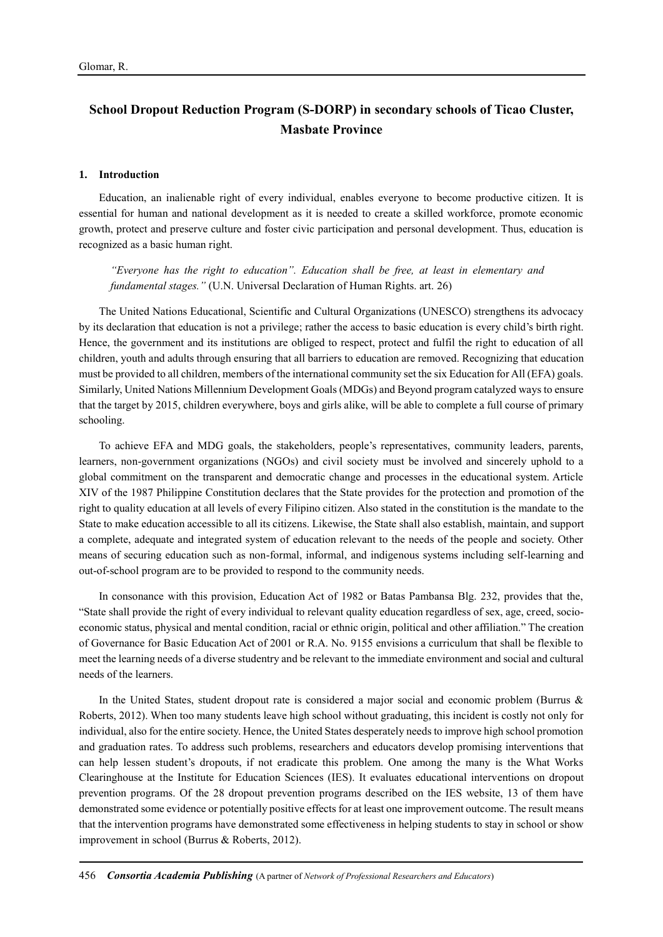# **School Dropout Reduction Program (S-DORP) in secondary schools of Ticao Cluster, Masbate Province**

#### **1. Introduction**

Education, an inalienable right of every individual, enables everyone to become productive citizen. It is essential for human and national development as it is needed to create a skilled workforce, promote economic growth, protect and preserve culture and foster civic participation and personal development. Thus, education is recognized as a basic human right.

*"Everyone has the right to education". Education shall be free, at least in elementary and fundamental stages."* (U.N. Universal Declaration of Human Rights. art. 26)

The United Nations Educational, Scientific and Cultural Organizations (UNESCO) strengthens its advocacy by its declaration that education is not a privilege; rather the access to basic education is every child's birth right. Hence, the government and its institutions are obliged to respect, protect and fulfil the right to education of all children, youth and adults through ensuring that all barriers to education are removed. Recognizing that education must be provided to all children, members of the international community set the six Education for All (EFA) goals. Similarly, United Nations Millennium Development Goals (MDGs) and Beyond program catalyzed ways to ensure that the target by 2015, children everywhere, boys and girls alike, will be able to complete a full course of primary schooling.

To achieve EFA and MDG goals, the stakeholders, people's representatives, community leaders, parents, learners, non-government organizations (NGOs) and civil society must be involved and sincerely uphold to a global commitment on the transparent and democratic change and processes in the educational system. Article XIV of the 1987 Philippine Constitution declares that the State provides for the protection and promotion of the right to quality education at all levels of every Filipino citizen. Also stated in the constitution is the mandate to the State to make education accessible to all its citizens. Likewise, the State shall also establish, maintain, and support a complete, adequate and integrated system of education relevant to the needs of the people and society. Other means of securing education such as non-formal, informal, and indigenous systems including self-learning and out-of-school program are to be provided to respond to the community needs.

In consonance with this provision, Education Act of 1982 or Batas Pambansa Blg. 232, provides that the, "State shall provide the right of every individual to relevant quality education regardless of sex, age, creed, socioeconomic status, physical and mental condition, racial or ethnic origin, political and other affiliation." The creation of Governance for Basic Education Act of 2001 or R.A. No. 9155 envisions a curriculum that shall be flexible to meet the learning needs of a diverse studentry and be relevant to the immediate environment and social and cultural needs of the learners.

In the United States, student dropout rate is considered a major social and economic problem (Burrus & Roberts, 2012). When too many students leave high school without graduating, this incident is costly not only for individual, also for the entire society. Hence, the United States desperately needs to improve high school promotion and graduation rates. To address such problems, researchers and educators develop promising interventions that can help lessen student's dropouts, if not eradicate this problem. One among the many is the What Works Clearinghouse at the Institute for Education Sciences (IES). It evaluates educational interventions on dropout prevention programs. Of the 28 dropout prevention programs described on the IES website, 13 of them have demonstrated some evidence or potentially positive effects for at least one improvement outcome. The result means that the intervention programs have demonstrated some effectiveness in helping students to stay in school or show improvement in school (Burrus & Roberts, 2012).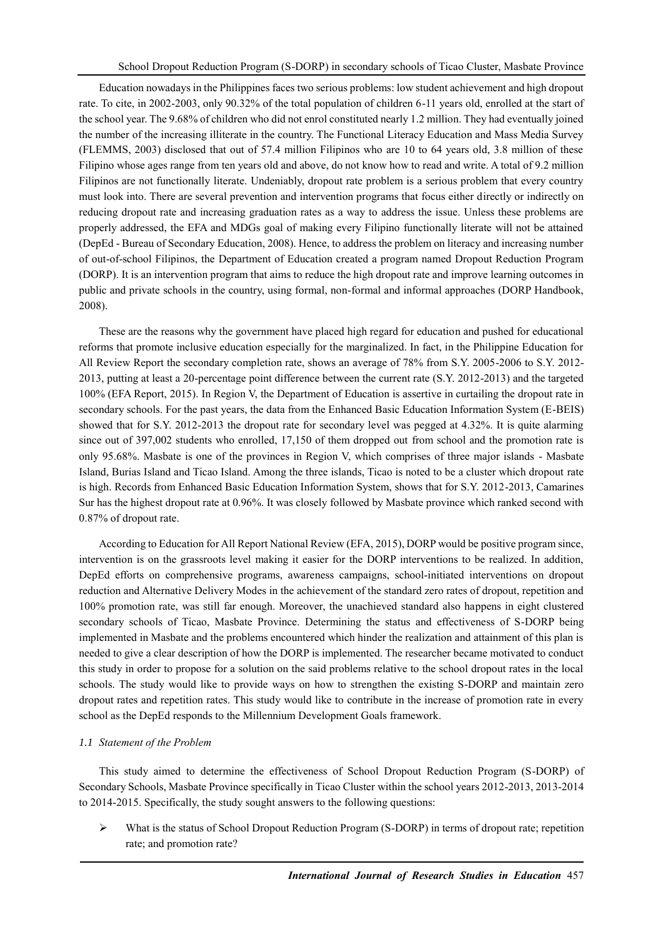Education nowadays in the Philippines faces two serious problems: low student achievement and high dropout rate. To cite, in 2002-2003, only 90.32% of the total population of children 6-11 years old, enrolled at the start of the school year. The 9.68% of children who did not enrol constituted nearly 1.2 million. They had eventually joined the number of the increasing illiterate in the country. The Functional Literacy Education and Mass Media Survey (FLEMMS, 2003) disclosed that out of 57.4 million Filipinos who are 10 to 64 years old, 3.8 million of these Filipino whose ages range from ten years old and above, do not know how to read and write. A total of 9.2 million Filipinos are not functionally literate. Undeniably, dropout rate problem is a serious problem that every country must look into. There are several prevention and intervention programs that focus either directly or indirectly on reducing dropout rate and increasing graduation rates as a way to address the issue. Unless these problems are properly addressed, the EFA and MDGs goal of making every Filipino functionally literate will not be attained (DepEd - Bureau of Secondary Education, 2008). Hence, to address the problem on literacy and increasing number of out-of-school Filipinos, the Department of Education created a program named Dropout Reduction Program (DORP). It is an intervention program that aims to reduce the high dropout rate and improve learning outcomes in public and private schools in the country, using formal, non-formal and informal approaches (DORP Handbook, 2008).

These are the reasons why the government have placed high regard for education and pushed for educational reforms that promote inclusive education especially for the marginalized. In fact, in the Philippine Education for All Review Report the secondary completion rate, shows an average of 78% from S.Y. 2005-2006 to S.Y. 2012- 2013, putting at least a 20-percentage point difference between the current rate (S.Y. 2012-2013) and the targeted 100% (EFA Report, 2015). In Region V, the Department of Education is assertive in curtailing the dropout rate in secondary schools. For the past years, the data from the Enhanced Basic Education Information System (E-BEIS) showed that for S.Y. 2012-2013 the dropout rate for secondary level was pegged at 4.32%. It is quite alarming since out of 397,002 students who enrolled, 17,150 of them dropped out from school and the promotion rate is only 95.68%. Masbate is one of the provinces in Region V, which comprises of three major islands - Masbate Island, Burias Island and Ticao Island. Among the three islands, Ticao is noted to be a cluster which dropout rate is high. Records from Enhanced Basic Education Information System, shows that for S.Y. 2012-2013, Camarines Sur has the highest dropout rate at 0.96%. It was closely followed by Masbate province which ranked second with 0.87% of dropout rate.

According to Education for All Report National Review (EFA, 2015), DORP would be positive program since, intervention is on the grassroots level making it easier for the DORP interventions to be realized. In addition, DepEd efforts on comprehensive programs, awareness campaigns, school-initiated interventions on dropout reduction and Alternative Delivery Modes in the achievement of the standard zero rates of dropout, repetition and 100% promotion rate, was still far enough. Moreover, the unachieved standard also happens in eight clustered secondary schools of Ticao, Masbate Province. Determining the status and effectiveness of S-DORP being implemented in Masbate and the problems encountered which hinder the realization and attainment of this plan is needed to give a clear description of how the DORP is implemented. The researcher became motivated to conduct this study in order to propose for a solution on the said problems relative to the school dropout rates in the local schools. The study would like to provide ways on how to strengthen the existing S-DORP and maintain zero dropout rates and repetition rates. This study would like to contribute in the increase of promotion rate in every school as the DepEd responds to the Millennium Development Goals framework.

## *1.1 Statement of the Problem*

This study aimed to determine the effectiveness of School Dropout Reduction Program (S-DORP) of Secondary Schools, Masbate Province specifically in Ticao Cluster within the school years 2012-2013, 2013-2014 to 2014-2015. Specifically, the study sought answers to the following questions:

 $\triangleright$  What is the status of School Dropout Reduction Program (S-DORP) in terms of dropout rate; repetition rate; and promotion rate?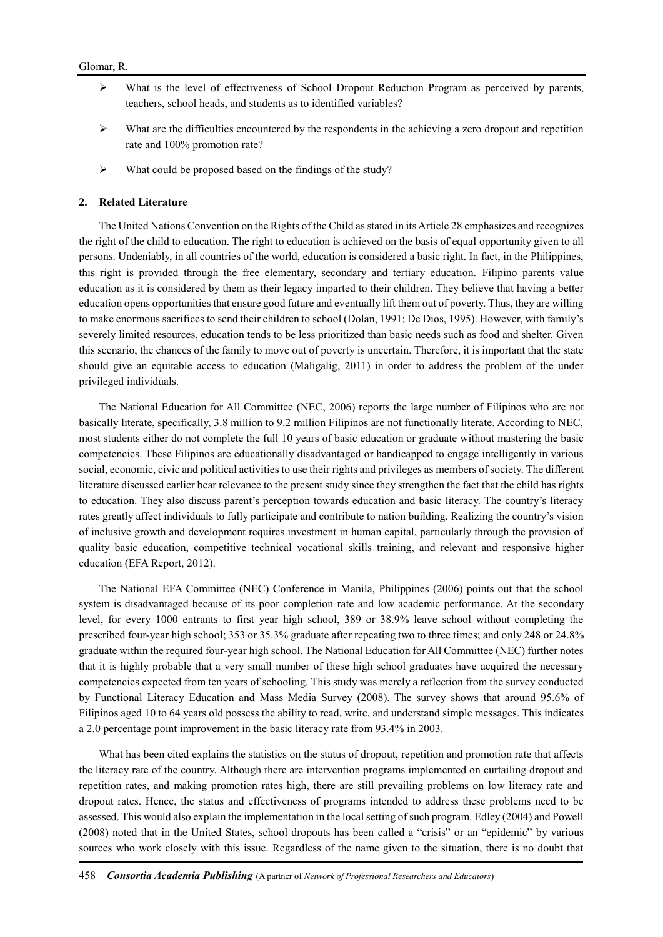- $\triangleright$  What is the level of effectiveness of School Dropout Reduction Program as perceived by parents, teachers, school heads, and students as to identified variables?
- $\triangleright$  What are the difficulties encountered by the respondents in the achieving a zero dropout and repetition rate and 100% promotion rate?
- $\triangleright$  What could be proposed based on the findings of the study?

#### **2. Related Literature**

The United Nations Convention on the Rights of the Child as stated in its Article 28 emphasizes and recognizes the right of the child to education. The right to education is achieved on the basis of equal opportunity given to all persons. Undeniably, in all countries of the world, education is considered a basic right. In fact, in the Philippines, this right is provided through the free elementary, secondary and tertiary education. Filipino parents value education as it is considered by them as their legacy imparted to their children. They believe that having a better education opens opportunities that ensure good future and eventually lift them out of poverty. Thus, they are willing to make enormous sacrifices to send their children to school (Dolan, 1991; De Dios, 1995). However, with family's severely limited resources, education tends to be less prioritized than basic needs such as food and shelter. Given this scenario, the chances of the family to move out of poverty is uncertain. Therefore, it is important that the state should give an equitable access to education (Maligalig, 2011) in order to address the problem of the under privileged individuals.

The National Education for All Committee (NEC, 2006) reports the large number of Filipinos who are not basically literate, specifically, 3.8 million to 9.2 million Filipinos are not functionally literate. According to NEC, most students either do not complete the full 10 years of basic education or graduate without mastering the basic competencies. These Filipinos are educationally disadvantaged or handicapped to engage intelligently in various social, economic, civic and political activities to use their rights and privileges as members of society. The different literature discussed earlier bear relevance to the present study since they strengthen the fact that the child has rights to education. They also discuss parent's perception towards education and basic literacy. The country's literacy rates greatly affect individuals to fully participate and contribute to nation building. Realizing the country's vision of inclusive growth and development requires investment in human capital, particularly through the provision of quality basic education, competitive technical vocational skills training, and relevant and responsive higher education (EFA Report, 2012).

The National EFA Committee (NEC) Conference in Manila, Philippines (2006) points out that the school system is disadvantaged because of its poor completion rate and low academic performance. At the secondary level, for every 1000 entrants to first year high school, 389 or 38.9% leave school without completing the prescribed four-year high school; 353 or 35.3% graduate after repeating two to three times; and only 248 or 24.8% graduate within the required four-year high school. The National Education for All Committee (NEC) further notes that it is highly probable that a very small number of these high school graduates have acquired the necessary competencies expected from ten years of schooling. This study was merely a reflection from the survey conducted by Functional Literacy Education and Mass Media Survey (2008). The survey shows that around 95.6% of Filipinos aged 10 to 64 years old possess the ability to read, write, and understand simple messages. This indicates a 2.0 percentage point improvement in the basic literacy rate from 93.4% in 2003.

What has been cited explains the statistics on the status of dropout, repetition and promotion rate that affects the literacy rate of the country. Although there are intervention programs implemented on curtailing dropout and repetition rates, and making promotion rates high, there are still prevailing problems on low literacy rate and dropout rates. Hence, the status and effectiveness of programs intended to address these problems need to be assessed. This would also explain the implementation in the local setting of such program. Edley (2004) and Powell (2008) noted that in the United States, school dropouts has been called a "crisis" or an "epidemic" by various sources who work closely with this issue. Regardless of the name given to the situation, there is no doubt that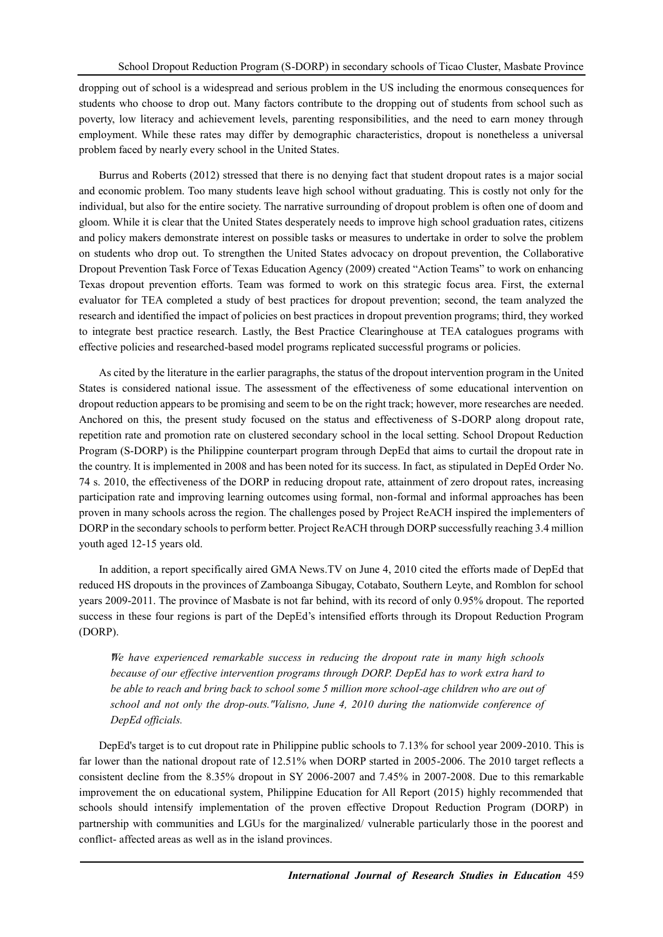dropping out of school is a widespread and serious problem in the US including the enormous consequences for students who choose to drop out. Many factors contribute to the dropping out of students from school such as poverty, low literacy and achievement levels, parenting responsibilities, and the need to earn money through employment. While these rates may differ by demographic characteristics, dropout is nonetheless a universal problem faced by nearly every school in the United States.

Burrus and Roberts (2012) stressed that there is no denying fact that student dropout rates is a major social and economic problem. Too many students leave high school without graduating. This is costly not only for the individual, but also for the entire society. The narrative surrounding of dropout problem is often one of doom and gloom. While it is clear that the United States desperately needs to improve high school graduation rates, citizens and policy makers demonstrate interest on possible tasks or measures to undertake in order to solve the problem on students who drop out. To strengthen the United States advocacy on dropout prevention, the Collaborative Dropout Prevention Task Force of Texas Education Agency (2009) created "Action Teams" to work on enhancing Texas dropout prevention efforts. Team was formed to work on this strategic focus area. First, the external evaluator for TEA completed a study of best practices for dropout prevention; second, the team analyzed the research and identified the impact of policies on best practices in dropout prevention programs; third, they worked to integrate best practice research. Lastly, the Best Practice Clearinghouse at TEA catalogues programs with effective policies and researched-based model programs replicated successful programs or policies.

As cited by the literature in the earlier paragraphs, the status of the dropout intervention program in the United States is considered national issue. The assessment of the effectiveness of some educational intervention on dropout reduction appears to be promising and seem to be on the right track; however, more researches are needed. Anchored on this, the present study focused on the status and effectiveness of S-DORP along dropout rate, repetition rate and promotion rate on clustered secondary school in the local setting. School Dropout Reduction Program (S-DORP) is the Philippine counterpart program through DepEd that aims to curtail the dropout rate in the country. It is implemented in 2008 and has been noted for its success. In fact, as stipulated in DepEd Order No. 74 s. 2010, the effectiveness of the DORP in reducing dropout rate, attainment of zero dropout rates, increasing participation rate and improving learning outcomes using formal, non-formal and informal approaches has been proven in many schools across the region. The challenges posed by Project ReACH inspired the implementers of DORP in the secondary schools to perform better. Project ReACH through DORP successfully reaching 3.4 million youth aged 12-15 years old.

In addition, a report specifically aired GMA News.TV on June 4, 2010 cited the efforts made of DepEd that reduced HS dropouts in the provinces of Zamboanga Sibugay, Cotabato, Southern Leyte, and Romblon for school years 2009-2011. The province of Masbate is not far behind, with its record of only 0.95% dropout. The reported success in these four regions is part of the DepEd's intensified efforts through its Dropout Reduction Program (DORP).

*"We have experienced remarkable success in reducing the dropout rate in many high schools because of our effective intervention programs through DORP. DepEd has to work extra hard to be able to reach and bring back to school some 5 million more school-age children who are out of school and not only the drop-outs." Valisno, June 4, 2010 during the nationwide conference of DepEd officials.*

DepEd's target is to cut dropout rate in Philippine public schools to 7.13% for school year 2009-2010. This is far lower than the national dropout rate of 12.51% when DORP started in 2005-2006. The 2010 target reflects a consistent decline from the 8.35% dropout in SY 2006-2007 and 7.45% in 2007-2008. Due to this remarkable improvement the on educational system, Philippine Education for All Report (2015) highly recommended that schools should intensify implementation of the proven effective Dropout Reduction Program (DORP) in partnership with communities and LGUs for the marginalized/ vulnerable particularly those in the poorest and conflict- affected areas as well as in the island provinces.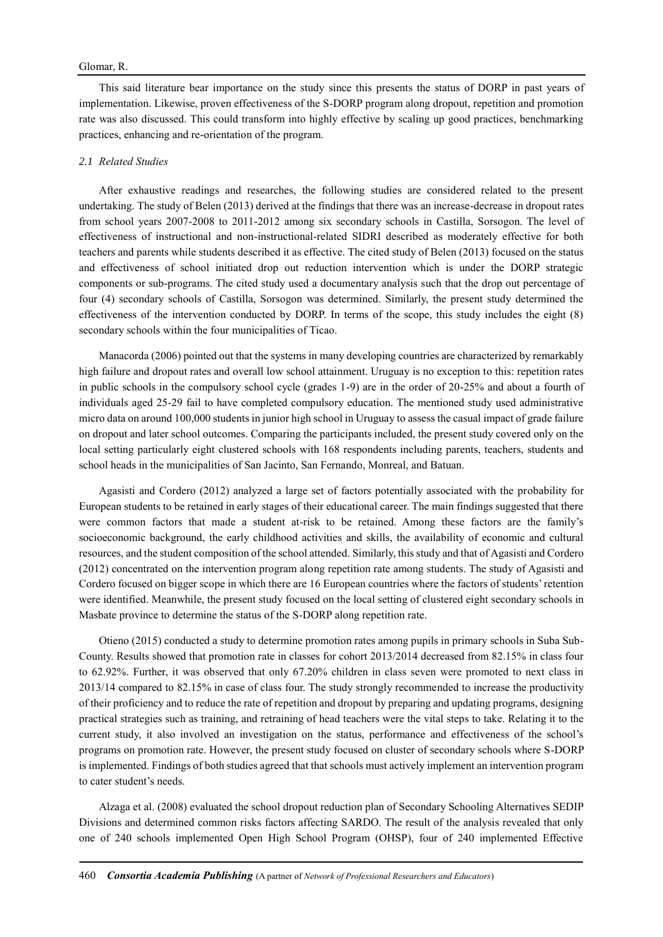This said literature bear importance on the study since this presents the status of DORP in past years of implementation. Likewise, proven effectiveness of the S-DORP program along dropout, repetition and promotion rate was also discussed. This could transform into highly effective by scaling up good practices, benchmarking practices, enhancing and re-orientation of the program.

#### *2.1 Related Studies*

After exhaustive readings and researches, the following studies are considered related to the present undertaking. The study of Belen (2013) derived at the findings that there was an increase-decrease in dropout rates from school years 2007-2008 to 2011-2012 among six secondary schools in Castilla, Sorsogon. The level of effectiveness of instructional and non-instructional-related SIDRI described as moderately effective for both teachers and parents while students described it as effective. The cited study of Belen (2013) focused on the status and effectiveness of school initiated drop out reduction intervention which is under the DORP strategic components or sub-programs. The cited study used a documentary analysis such that the drop out percentage of four (4) secondary schools of Castilla, Sorsogon was determined. Similarly, the present study determined the effectiveness of the intervention conducted by DORP. In terms of the scope, this study includes the eight (8) secondary schools within the four municipalities of Ticao.

Manacorda (2006) pointed out that the systems in many developing countries are characterized by remarkably high failure and dropout rates and overall low school attainment. Uruguay is no exception to this: repetition rates in public schools in the compulsory school cycle (grades 1-9) are in the order of 20-25% and about a fourth of individuals aged 25-29 fail to have completed compulsory education. The mentioned study used administrative micro data on around 100,000 students in junior high school in Uruguay to assess the casual impact of grade failure on dropout and later school outcomes. Comparing the participants included, the present study covered only on the local setting particularly eight clustered schools with 168 respondents including parents, teachers, students and school heads in the municipalities of San Jacinto, San Fernando, Monreal, and Batuan.

Agasisti and Cordero (2012) analyzed a large set of factors potentially associated with the probability for European students to be retained in early stages of their educational career. The main findings suggested that there were common factors that made a student at-risk to be retained. Among these factors are the family's socioeconomic background, the early childhood activities and skills, the availability of economic and cultural resources, and the student composition of the school attended. Similarly, this study and that of Agasisti and Cordero (2012) concentrated on the intervention program along repetition rate among students. The study of Agasisti and Cordero focused on bigger scope in which there are 16 European countries where the factors of students' retention were identified. Meanwhile, the present study focused on the local setting of clustered eight secondary schools in Masbate province to determine the status of the S-DORP along repetition rate.

Otieno (2015) conducted a study to determine promotion rates among pupils in primary schools in Suba Sub-County. Results showed that promotion rate in classes for cohort 2013/2014 decreased from 82.15% in class four to 62.92%. Further, it was observed that only 67.20% children in class seven were promoted to next class in 2013/14 compared to 82.15% in case of class four. The study strongly recommended to increase the productivity of their proficiency and to reduce the rate of repetition and dropout by preparing and updating programs, designing practical strategies such as training, and retraining of head teachers were the vital steps to take. Relating it to the current study, it also involved an investigation on the status, performance and effectiveness of the school's programs on promotion rate. However, the present study focused on cluster of secondary schools where S-DORP is implemented. Findings of both studies agreed that that schools must actively implement an intervention program to cater student's needs.

Alzaga et al. (2008) evaluated the school dropout reduction plan of Secondary Schooling Alternatives SEDIP Divisions and determined common risks factors affecting SARDO. The result of the analysis revealed that only one of 240 schools implemented Open High School Program (OHSP), four of 240 implemented Effective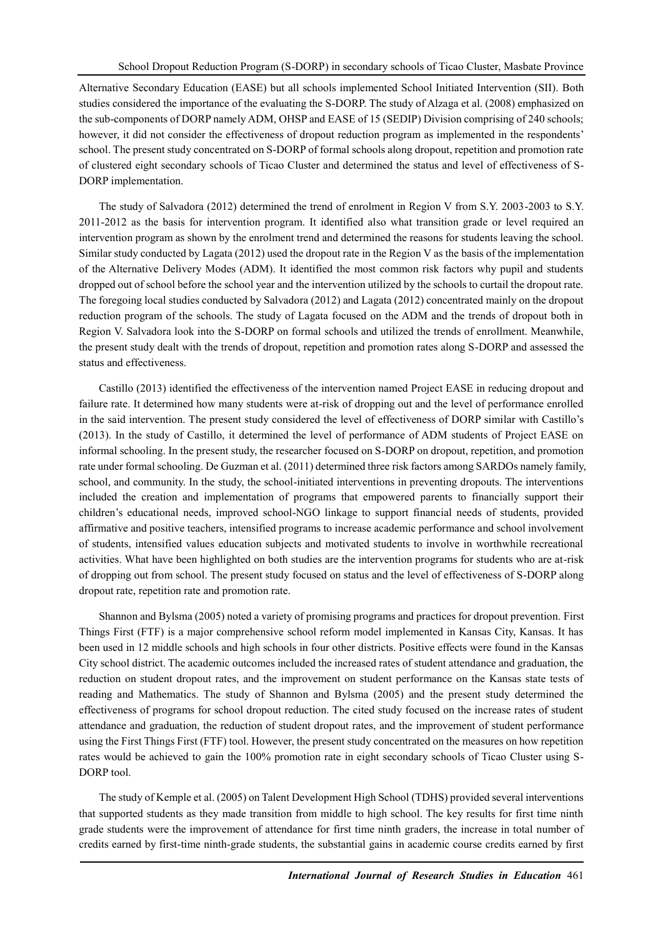Alternative Secondary Education (EASE) but all schools implemented School Initiated Intervention (SII). Both studies considered the importance of the evaluating the S-DORP. The study of Alzaga et al. (2008) emphasized on the sub-components of DORP namely ADM, OHSP and EASE of 15 (SEDIP) Division comprising of 240 schools; however, it did not consider the effectiveness of dropout reduction program as implemented in the respondents' school. The present study concentrated on S-DORP of formal schools along dropout, repetition and promotion rate of clustered eight secondary schools of Ticao Cluster and determined the status and level of effectiveness of S-DORP implementation.

The study of Salvadora (2012) determined the trend of enrolment in Region V from S.Y. 2003-2003 to S.Y. 2011-2012 as the basis for intervention program. It identified also what transition grade or level required an intervention program as shown by the enrolment trend and determined the reasons for students leaving the school. Similar study conducted by Lagata (2012) used the dropout rate in the Region V as the basis of the implementation of the Alternative Delivery Modes (ADM). It identified the most common risk factors why pupil and students dropped out of school before the school year and the intervention utilized by the schools to curtail the dropout rate. The foregoing local studies conducted by Salvadora (2012) and Lagata (2012) concentrated mainly on the dropout reduction program of the schools. The study of Lagata focused on the ADM and the trends of dropout both in Region V. Salvadora look into the S-DORP on formal schools and utilized the trends of enrollment. Meanwhile, the present study dealt with the trends of dropout, repetition and promotion rates along S-DORP and assessed the status and effectiveness.

Castillo (2013) identified the effectiveness of the intervention named Project EASE in reducing dropout and failure rate. It determined how many students were at-risk of dropping out and the level of performance enrolled in the said intervention. The present study considered the level of effectiveness of DORP similar with Castillo's (2013). In the study of Castillo, it determined the level of performance of ADM students of Project EASE on informal schooling. In the present study, the researcher focused on S-DORP on dropout, repetition, and promotion rate under formal schooling. De Guzman et al. (2011) determined three risk factors among SARDOs namely family, school, and community. In the study, the school-initiated interventions in preventing dropouts. The interventions included the creation and implementation of programs that empowered parents to financially support their children's educational needs, improved school-NGO linkage to support financial needs of students, provided affirmative and positive teachers, intensified programs to increase academic performance and school involvement of students, intensified values education subjects and motivated students to involve in worthwhile recreational activities. What have been highlighted on both studies are the intervention programs for students who are at-risk of dropping out from school. The present study focused on status and the level of effectiveness of S-DORP along dropout rate, repetition rate and promotion rate.

Shannon and Bylsma (2005) noted a variety of promising programs and practices for dropout prevention. First Things First (FTF) is a major comprehensive school reform model implemented in Kansas City, Kansas. It has been used in 12 middle schools and high schools in four other districts. Positive effects were found in the Kansas City school district. The academic outcomes included the increased rates of student attendance and graduation, the reduction on student dropout rates, and the improvement on student performance on the Kansas state tests of reading and Mathematics. The study of Shannon and Bylsma (2005) and the present study determined the effectiveness of programs for school dropout reduction. The cited study focused on the increase rates of student attendance and graduation, the reduction of student dropout rates, and the improvement of student performance using the First Things First (FTF) tool. However, the present study concentrated on the measures on how repetition rates would be achieved to gain the 100% promotion rate in eight secondary schools of Ticao Cluster using S-DORP tool.

The study of Kemple et al. (2005) on Talent Development High School (TDHS) provided several interventions that supported students as they made transition from middle to high school. The key results for first time ninth grade students were the improvement of attendance for first time ninth graders, the increase in total number of credits earned by first-time ninth-grade students, the substantial gains in academic course credits earned by first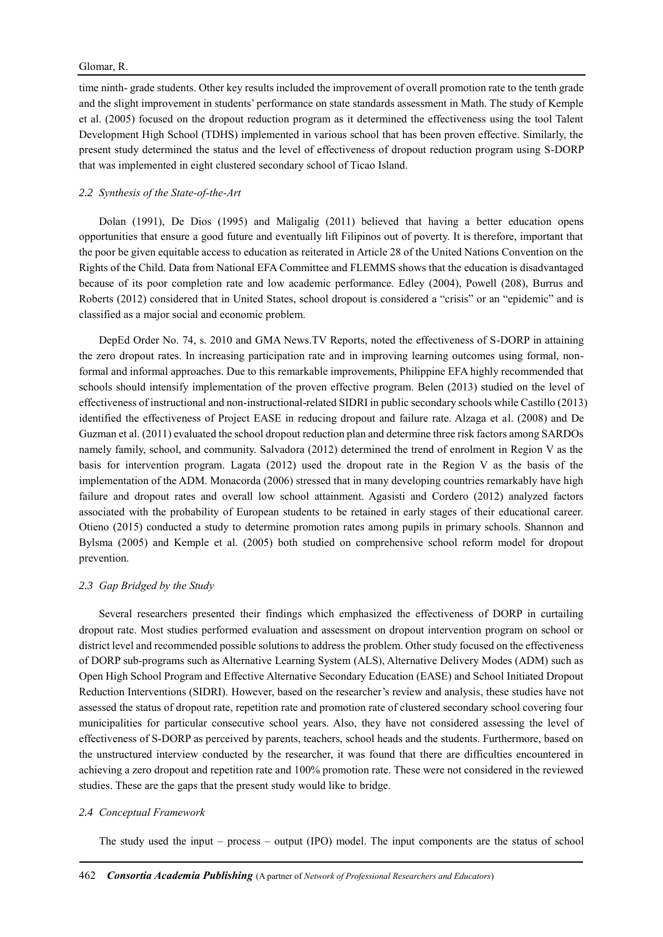time ninth- grade students. Other key results included the improvement of overall promotion rate to the tenth grade and the slight improvement in students' performance on state standards assessment in Math. The study of Kemple et al. (2005) focused on the dropout reduction program as it determined the effectiveness using the tool Talent Development High School (TDHS) implemented in various school that has been proven effective. Similarly, the present study determined the status and the level of effectiveness of dropout reduction program using S-DORP that was implemented in eight clustered secondary school of Ticao Island.

#### *2.2 Synthesis of the State-of-the-Art*

Dolan (1991), De Dios (1995) and Maligalig (2011) believed that having a better education opens opportunities that ensure a good future and eventually lift Filipinos out of poverty. It is therefore, important that the poor be given equitable access to education as reiterated in Article 28 of the United Nations Convention on the Rights of the Child. Data from National EFA Committee and FLEMMS shows that the education is disadvantaged because of its poor completion rate and low academic performance. Edley (2004), Powell (208), Burrus and Roberts (2012) considered that in United States, school dropout is considered a "crisis" or an "epidemic" and is classified as a major social and economic problem.

DepEd Order No. 74, s. 2010 and GMA News.TV Reports, noted the effectiveness of S-DORP in attaining the zero dropout rates. In increasing participation rate and in improving learning outcomes using formal, nonformal and informal approaches. Due to this remarkable improvements, Philippine EFA highly recommended that schools should intensify implementation of the proven effective program. Belen (2013) studied on the level of effectiveness of instructional and non-instructional-related SIDRI in public secondary schools while Castillo (2013) identified the effectiveness of Project EASE in reducing dropout and failure rate. Alzaga et al. (2008) and De Guzman et al. (2011) evaluated the school dropout reduction plan and determine three risk factors among SARDOs namely family, school, and community. Salvadora (2012) determined the trend of enrolment in Region V as the basis for intervention program. Lagata (2012) used the dropout rate in the Region V as the basis of the implementation of the ADM. Monacorda (2006) stressed that in many developing countries remarkably have high failure and dropout rates and overall low school attainment. Agasisti and Cordero (2012) analyzed factors associated with the probability of European students to be retained in early stages of their educational career. Otieno (2015) conducted a study to determine promotion rates among pupils in primary schools. Shannon and Bylsma (2005) and Kemple et al. (2005) both studied on comprehensive school reform model for dropout prevention.

#### *2.3 Gap Bridged by the Study*

Several researchers presented their findings which emphasized the effectiveness of DORP in curtailing dropout rate. Most studies performed evaluation and assessment on dropout intervention program on school or district level and recommended possible solutions to address the problem. Other study focused on the effectiveness of DORP sub-programs such as Alternative Learning System (ALS), Alternative Delivery Modes (ADM) such as Open High School Program and Effective Alternative Secondary Education (EASE) and School Initiated Dropout Reduction Interventions (SIDRI). However, based on the researcher's review and analysis, these studies have not assessed the status of dropout rate, repetition rate and promotion rate of clustered secondary school covering four municipalities for particular consecutive school years. Also, they have not considered assessing the level of effectiveness of S-DORP as perceived by parents, teachers, school heads and the students. Furthermore, based on the unstructured interview conducted by the researcher, it was found that there are difficulties encountered in achieving a zero dropout and repetition rate and 100% promotion rate. These were not considered in the reviewed studies. These are the gaps that the present study would like to bridge.

## *2.4 Conceptual Framework*

The study used the input – process – output (IPO) model. The input components are the status of school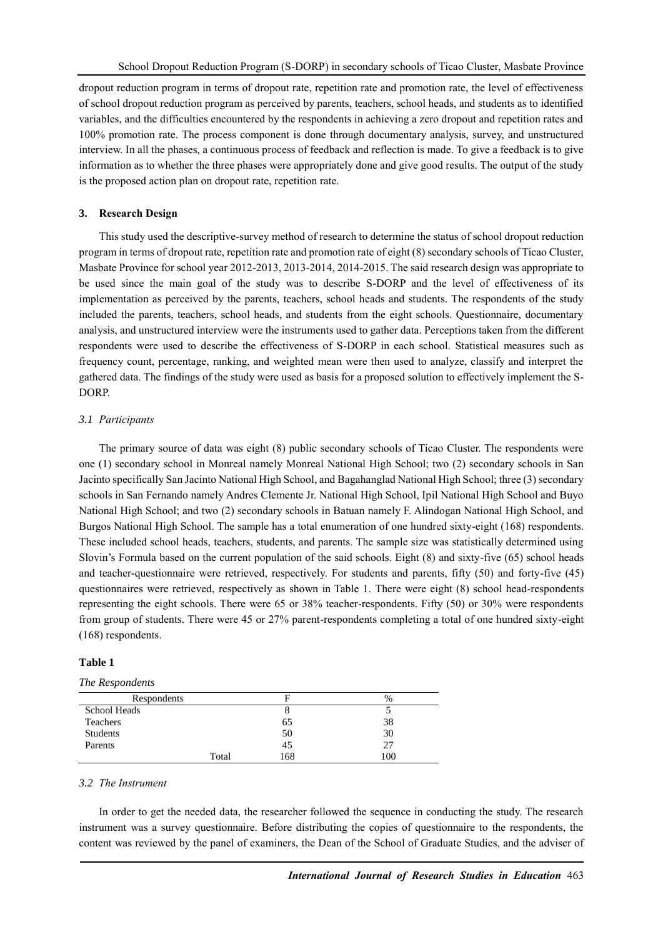dropout reduction program in terms of dropout rate, repetition rate and promotion rate, the level of effectiveness of school dropout reduction program as perceived by parents, teachers, school heads, and students as to identified variables, and the difficulties encountered by the respondents in achieving a zero dropout and repetition rates and 100% promotion rate. The process component is done through documentary analysis, survey, and unstructured interview. In all the phases, a continuous process of feedback and reflection is made. To give a feedback is to give information as to whether the three phases were appropriately done and give good results. The output of the study is the proposed action plan on dropout rate, repetition rate.

## **3. Research Design**

This study used the descriptive-survey method of research to determine the status of school dropout reduction program in terms of dropout rate, repetition rate and promotion rate of eight (8) secondary schools of Ticao Cluster, Masbate Province for school year 2012-2013, 2013-2014, 2014-2015. The said research design was appropriate to be used since the main goal of the study was to describe S-DORP and the level of effectiveness of its implementation as perceived by the parents, teachers, school heads and students. The respondents of the study included the parents, teachers, school heads, and students from the eight schools. Questionnaire, documentary analysis, and unstructured interview were the instruments used to gather data. Perceptions taken from the different respondents were used to describe the effectiveness of S-DORP in each school. Statistical measures such as frequency count, percentage, ranking, and weighted mean were then used to analyze, classify and interpret the gathered data. The findings of the study were used as basis for a proposed solution to effectively implement the S-DORP.

## *3.1 Participants*

The primary source of data was eight (8) public secondary schools of Ticao Cluster. The respondents were one (1) secondary school in Monreal namely Monreal National High School; two (2) secondary schools in San Jacinto specifically San Jacinto National High School, and Bagahanglad National High School; three (3) secondary schools in San Fernando namely Andres Clemente Jr. National High School, Ipil National High School and Buyo National High School; and two (2) secondary schools in Batuan namely F. Alindogan National High School, and Burgos National High School. The sample has a total enumeration of one hundred sixty-eight (168) respondents. These included school heads, teachers, students, and parents. The sample size was statistically determined using Slovin's Formula based on the current population of the said schools. Eight (8) and sixty-five (65) school heads and teacher-questionnaire were retrieved, respectively. For students and parents, fifty (50) and forty-five (45) questionnaires were retrieved, respectively as shown in Table 1. There were eight (8) school head-respondents representing the eight schools. There were 65 or 38% teacher-respondents. Fifty (50) or 30% were respondents from group of students. There were 45 or 27% parent-respondents completing a total of one hundred sixty-eight (168) respondents.

#### **Table 1**

#### *The Respondents*

| Respondents         |       |     | $\%$ |
|---------------------|-------|-----|------|
| <b>School Heads</b> |       |     |      |
| Teachers            |       | 65  | 38   |
| <b>Students</b>     |       | 50  | 30   |
| Parents             |       | 45  | 27   |
|                     | Total | 168 | 100  |

#### *3.2 The Instrument*

In order to get the needed data, the researcher followed the sequence in conducting the study. The research instrument was a survey questionnaire. Before distributing the copies of questionnaire to the respondents, the content was reviewed by the panel of examiners, the Dean of the School of Graduate Studies, and the adviser of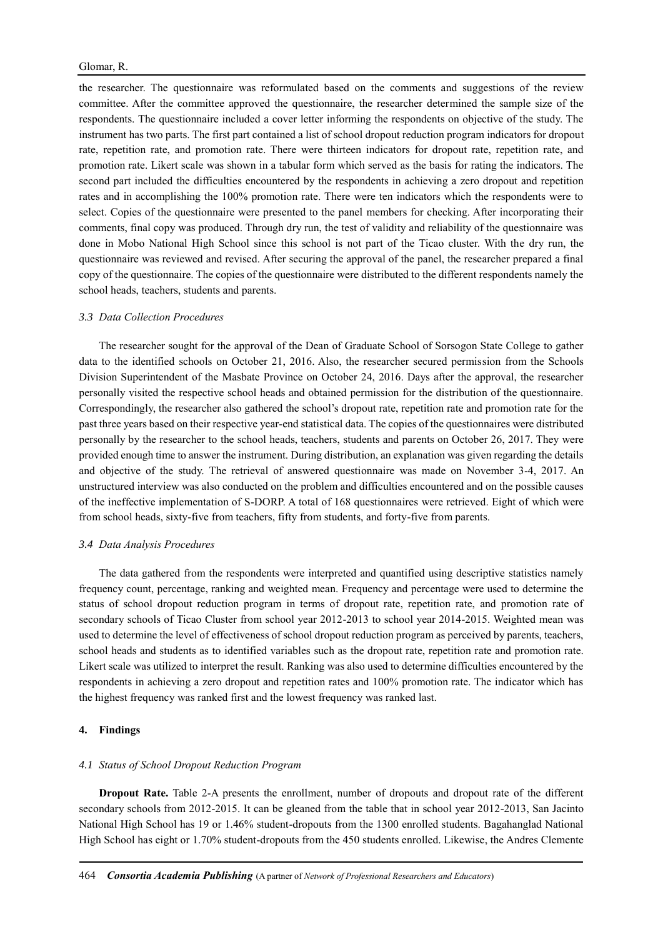the researcher. The questionnaire was reformulated based on the comments and suggestions of the review committee. After the committee approved the questionnaire, the researcher determined the sample size of the respondents. The questionnaire included a cover letter informing the respondents on objective of the study. The instrument has two parts. The first part contained a list of school dropout reduction program indicators for dropout rate, repetition rate, and promotion rate. There were thirteen indicators for dropout rate, repetition rate, and promotion rate. Likert scale was shown in a tabular form which served as the basis for rating the indicators. The second part included the difficulties encountered by the respondents in achieving a zero dropout and repetition rates and in accomplishing the 100% promotion rate. There were ten indicators which the respondents were to select. Copies of the questionnaire were presented to the panel members for checking. After incorporating their comments, final copy was produced. Through dry run, the test of validity and reliability of the questionnaire was done in Mobo National High School since this school is not part of the Ticao cluster. With the dry run, the questionnaire was reviewed and revised. After securing the approval of the panel, the researcher prepared a final copy of the questionnaire. The copies of the questionnaire were distributed to the different respondents namely the school heads, teachers, students and parents.

### *3.3 Data Collection Procedures*

The researcher sought for the approval of the Dean of Graduate School of Sorsogon State College to gather data to the identified schools on October 21, 2016. Also, the researcher secured permission from the Schools Division Superintendent of the Masbate Province on October 24, 2016. Days after the approval, the researcher personally visited the respective school heads and obtained permission for the distribution of the questionnaire. Correspondingly, the researcher also gathered the school's dropout rate, repetition rate and promotion rate for the past three years based on their respective year-end statistical data. The copies of the questionnaires were distributed personally by the researcher to the school heads, teachers, students and parents on October 26, 2017. They were provided enough time to answer the instrument. During distribution, an explanation was given regarding the details and objective of the study. The retrieval of answered questionnaire was made on November 3-4, 2017. An unstructured interview was also conducted on the problem and difficulties encountered and on the possible causes of the ineffective implementation of S-DORP. A total of 168 questionnaires were retrieved. Eight of which were from school heads, sixty-five from teachers, fifty from students, and forty-five from parents.

#### *3.4 Data Analysis Procedures*

The data gathered from the respondents were interpreted and quantified using descriptive statistics namely frequency count, percentage, ranking and weighted mean. Frequency and percentage were used to determine the status of school dropout reduction program in terms of dropout rate, repetition rate, and promotion rate of secondary schools of Ticao Cluster from school year 2012-2013 to school year 2014-2015. Weighted mean was used to determine the level of effectiveness of school dropout reduction program as perceived by parents, teachers, school heads and students as to identified variables such as the dropout rate, repetition rate and promotion rate. Likert scale was utilized to interpret the result. Ranking was also used to determine difficulties encountered by the respondents in achieving a zero dropout and repetition rates and 100% promotion rate. The indicator which has the highest frequency was ranked first and the lowest frequency was ranked last.

#### **4. Findings**

#### *4.1 Status of School Dropout Reduction Program*

**Dropout Rate.** Table 2-A presents the enrollment, number of dropouts and dropout rate of the different secondary schools from 2012-2015. It can be gleaned from the table that in school year 2012-2013, San Jacinto National High School has 19 or 1.46% student-dropouts from the 1300 enrolled students. Bagahanglad National High School has eight or 1.70% student-dropouts from the 450 students enrolled. Likewise, the Andres Clemente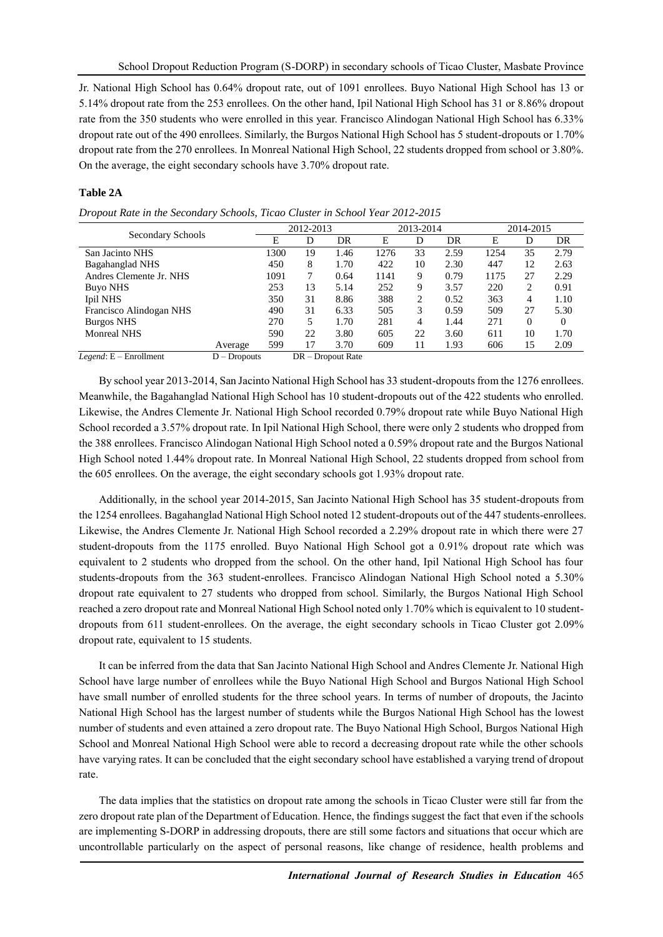Jr. National High School has 0.64% dropout rate, out of 1091 enrollees. Buyo National High School has 13 or 5.14% dropout rate from the 253 enrollees. On the other hand, Ipil National High School has 31 or 8.86% dropout rate from the 350 students who were enrolled in this year. Francisco Alindogan National High School has 6.33% dropout rate out of the 490 enrollees. Similarly, the Burgos National High School has 5 student-dropouts or 1.70% dropout rate from the 270 enrollees. In Monreal National High School, 22 students dropped from school or 3.80%. On the average, the eight secondary schools have 3.70% dropout rate.

## **Table 2A**

|  |  | Dropout Rate in the Secondary Schools, Ticao Cluster in School Year 2012-2015 |  |  |  |  |  |
|--|--|-------------------------------------------------------------------------------|--|--|--|--|--|
|  |  |                                                                               |  |  |  |  |  |

|                         |                 |      | 2012-2013 |                |      | 2013-2014      |      |      | 2014-2015 |          |
|-------------------------|-----------------|------|-----------|----------------|------|----------------|------|------|-----------|----------|
| Secondary Schools       |                 | E    | D         | DR             | E    | D              | DR   | E    | D         | DR       |
| San Jacinto NHS         |                 | 1300 | 19        | 1.46           | 1276 | 33             | 2.59 | 1254 | 35        | 2.79     |
| Bagahanglad NHS         |                 | 450  | 8         | 1.70           | 422  | 10             | 2.30 | 447  | 12        | 2.63     |
| Andres Clemente Jr. NHS |                 | 1091 | 7         | 0.64           | 1141 | 9              | 0.79 | 1175 | 27        | 2.29     |
| Buyo NHS                |                 | 253  | 13        | 5.14           | 252  | 9              | 3.57 | 220  | 2         | 0.91     |
| Ipil NHS                |                 | 350  | 31        | 8.86           | 388  | $\overline{2}$ | 0.52 | 363  | 4         | 1.10     |
| Francisco Alindogan NHS |                 | 490  | 31        | 6.33           | 505  | 3              | 0.59 | 509  | 27        | 5.30     |
| <b>Burgos NHS</b>       |                 | 270  | 5         | 1.70           | 281  | 4              | 1.44 | 271  | 0         | $\Omega$ |
| <b>Monreal NHS</b>      |                 | 590  | 22        | 3.80           | 605  | 22             | 3.60 | 611  | 10        | 1.70     |
|                         | Average         | 599  | 17        | 3.70           | 609  | 11             | 1.93 | 606  | 15        | 2.09     |
| Legend: E - Enrollment  | $D - D$ ropouts |      | DR.       | - Dropout Rate |      |                |      |      |           |          |

By school year 2013-2014, San Jacinto National High School has 33 student-dropouts from the 1276 enrollees.

Meanwhile, the Bagahanglad National High School has 10 student-dropouts out of the 422 students who enrolled. Likewise, the Andres Clemente Jr. National High School recorded 0.79% dropout rate while Buyo National High School recorded a 3.57% dropout rate. In Ipil National High School, there were only 2 students who dropped from the 388 enrollees. Francisco Alindogan National High School noted a 0.59% dropout rate and the Burgos National High School noted 1.44% dropout rate. In Monreal National High School, 22 students dropped from school from the 605 enrollees. On the average, the eight secondary schools got 1.93% dropout rate.

Additionally, in the school year 2014-2015, San Jacinto National High School has 35 student-dropouts from the 1254 enrollees. Bagahanglad National High School noted 12 student-dropouts out of the 447 students-enrollees. Likewise, the Andres Clemente Jr. National High School recorded a 2.29% dropout rate in which there were 27 student-dropouts from the 1175 enrolled. Buyo National High School got a 0.91% dropout rate which was equivalent to 2 students who dropped from the school. On the other hand, Ipil National High School has four students-dropouts from the 363 student-enrollees. Francisco Alindogan National High School noted a 5.30% dropout rate equivalent to 27 students who dropped from school. Similarly, the Burgos National High School reached a zero dropout rate and Monreal National High School noted only 1.70% which is equivalent to 10 studentdropouts from 611 student-enrollees. On the average, the eight secondary schools in Ticao Cluster got 2.09% dropout rate, equivalent to 15 students.

It can be inferred from the data that San Jacinto National High School and Andres Clemente Jr. National High School have large number of enrollees while the Buyo National High School and Burgos National High School have small number of enrolled students for the three school years. In terms of number of dropouts, the Jacinto National High School has the largest number of students while the Burgos National High School has the lowest number of students and even attained a zero dropout rate. The Buyo National High School, Burgos National High School and Monreal National High School were able to record a decreasing dropout rate while the other schools have varying rates. It can be concluded that the eight secondary school have established a varying trend of dropout rate.

The data implies that the statistics on dropout rate among the schools in Ticao Cluster were still far from the zero dropout rate plan of the Department of Education. Hence, the findings suggest the fact that even if the schools are implementing S-DORP in addressing dropouts, there are still some factors and situations that occur which are uncontrollable particularly on the aspect of personal reasons, like change of residence, health problems and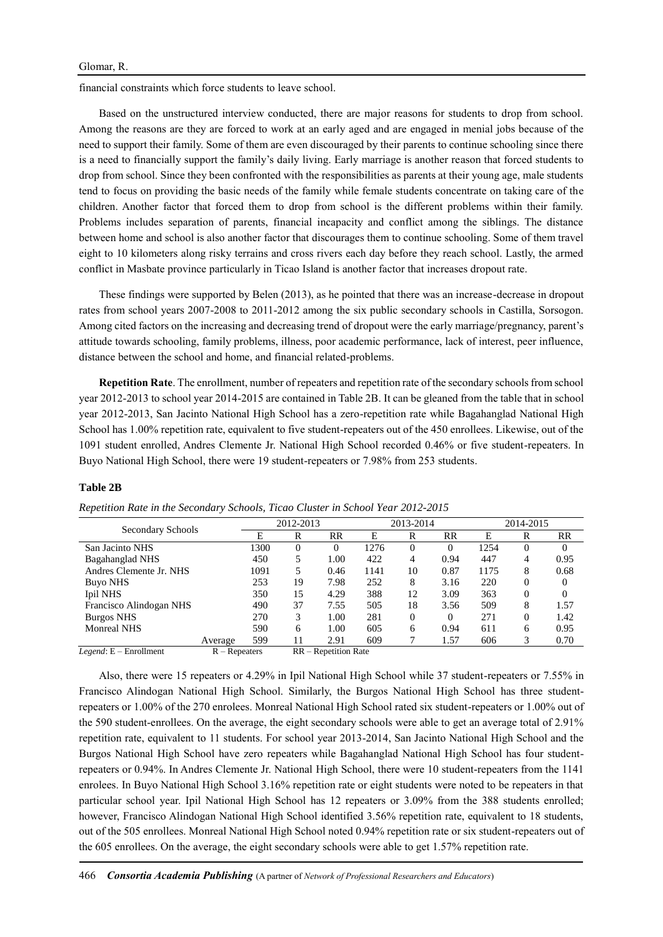financial constraints which force students to leave school.

Based on the unstructured interview conducted, there are major reasons for students to drop from school. Among the reasons are they are forced to work at an early aged and are engaged in menial jobs because of the need to support their family. Some of them are even discouraged by their parents to continue schooling since there is a need to financially support the family's daily living. Early marriage is another reason that forced students to drop from school. Since they been confronted with the responsibilities as parents at their young age, male students tend to focus on providing the basic needs of the family while female students concentrate on taking care of the children. Another factor that forced them to drop from school is the different problems within their family. Problems includes separation of parents, financial incapacity and conflict among the siblings. The distance between home and school is also another factor that discourages them to continue schooling. Some of them travel eight to 10 kilometers along risky terrains and cross rivers each day before they reach school. Lastly, the armed conflict in Masbate province particularly in Ticao Island is another factor that increases dropout rate.

These findings were supported by Belen (2013), as he pointed that there was an increase-decrease in dropout rates from school years 2007-2008 to 2011-2012 among the six public secondary schools in Castilla, Sorsogon. Among cited factors on the increasing and decreasing trend of dropout were the early marriage/pregnancy, parent's attitude towards schooling, family problems, illness, poor academic performance, lack of interest, peer influence, distance between the school and home, and financial related-problems.

**Repetition Rate**. The enrollment, number of repeaters and repetition rate of the secondary schools from school year 2012-2013 to school year 2014-2015 are contained in Table 2B. It can be gleaned from the table that in school year 2012-2013, San Jacinto National High School has a zero-repetition rate while Bagahanglad National High School has 1.00% repetition rate, equivalent to five student-repeaters out of the 450 enrollees. Likewise, out of the 1091 student enrolled, Andres Clemente Jr. National High School recorded 0.46% or five student-repeaters. In Buyo National High School, there were 19 student-repeaters or 7.98% from 253 students.

## **Table 2B**

|                                  |                 |      | 2012-2013 |                      |      | 2013-2014 |          |      | 2014-2015      |           |
|----------------------------------|-----------------|------|-----------|----------------------|------|-----------|----------|------|----------------|-----------|
| Secondary Schools                |                 | E    | R         | RR                   | E    | R         | RR       | E    | R              | <b>RR</b> |
| San Jacinto NHS                  |                 | 1300 | $\theta$  | 0                    | 1276 | 0         | 0        | 1254 | $\Omega$       | $\Omega$  |
| Bagahanglad NHS                  |                 | 450  | 5         | 1.00                 | 422  | 4         | 0.94     | 447  | 4              | 0.95      |
| Andres Clemente Jr. NHS          |                 | 1091 | 5         | 0.46                 | 1141 | 10        | 0.87     | 1175 | 8              | 0.68      |
| Buyo NHS                         |                 | 253  | 19        | 7.98                 | 252  | 8         | 3.16     | 220  | $\overline{0}$ | 0         |
| Ipil NHS                         |                 | 350  | 15        | 4.29                 | 388  | 12        | 3.09     | 363  | $\Omega$       | $\Omega$  |
| Francisco Alindogan NHS          |                 | 490  | 37        | 7.55                 | 505  | 18        | 3.56     | 509  | 8              | 1.57      |
| <b>Burgos NHS</b>                |                 | 270  | 3         | 1.00                 | 281  | 0         | $\Omega$ | 271  | $\Omega$       | 1.42      |
| <b>Monreal NHS</b>               |                 | 590  | 6         | 1.00                 | 605  | 6         | 0.94     | 611  | 6              | 0.95      |
|                                  | Average         | 599  | 11        | 2.91                 | 609  |           | 1.57     | 606  | 3              | 0.70      |
| <i>Legend</i> : $E$ – Enrollment | $R - Repedters$ |      |           | RR – Repetition Rate |      |           |          |      |                |           |

*Repetition Rate in the Secondary Schools, Ticao Cluster in School Year 2012-2015*

Also, there were 15 repeaters or 4.29% in Ipil National High School while 37 student-repeaters or 7.55% in Francisco Alindogan National High School. Similarly, the Burgos National High School has three studentrepeaters or 1.00% of the 270 enrolees. Monreal National High School rated six student-repeaters or 1.00% out of the 590 student-enrollees. On the average, the eight secondary schools were able to get an average total of 2.91% repetition rate, equivalent to 11 students. For school year 2013-2014, San Jacinto National High School and the Burgos National High School have zero repeaters while Bagahanglad National High School has four studentrepeaters or 0.94%. In Andres Clemente Jr. National High School, there were 10 student-repeaters from the 1141 enrolees. In Buyo National High School 3.16% repetition rate or eight students were noted to be repeaters in that particular school year. Ipil National High School has 12 repeaters or 3.09% from the 388 students enrolled; however, Francisco Alindogan National High School identified 3.56% repetition rate, equivalent to 18 students, out of the 505 enrollees. Monreal National High School noted 0.94% repetition rate or six student-repeaters out of the 605 enrollees. On the average, the eight secondary schools were able to get 1.57% repetition rate.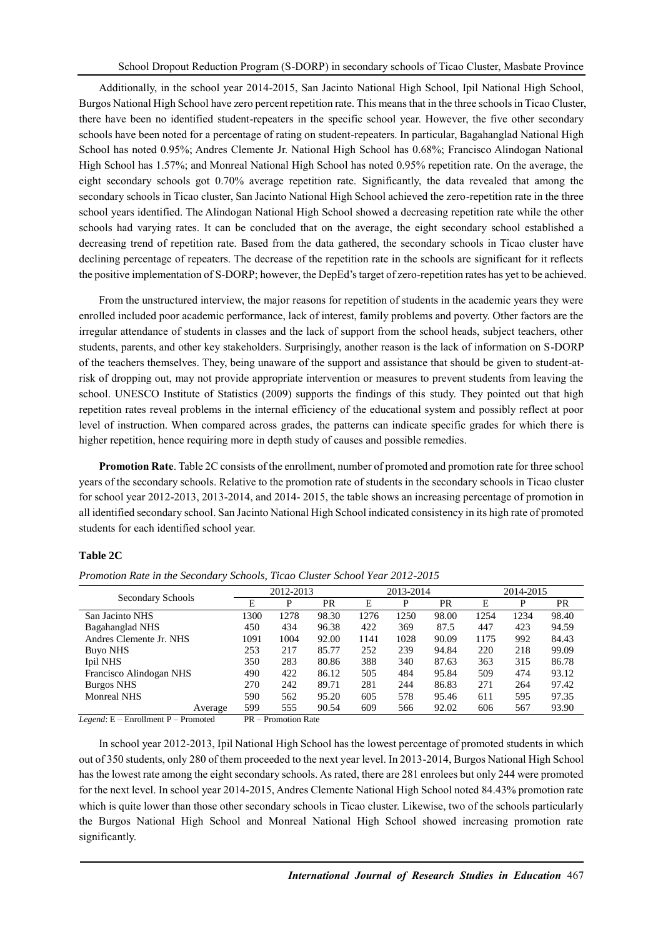Additionally, in the school year 2014-2015, San Jacinto National High School, Ipil National High School, Burgos National High School have zero percent repetition rate. This means that in the three schools in Ticao Cluster, there have been no identified student-repeaters in the specific school year. However, the five other secondary schools have been noted for a percentage of rating on student-repeaters. In particular, Bagahanglad National High School has noted 0.95%; Andres Clemente Jr. National High School has 0.68%; Francisco Alindogan National High School has 1.57%; and Monreal National High School has noted 0.95% repetition rate. On the average, the eight secondary schools got 0.70% average repetition rate. Significantly, the data revealed that among the secondary schools in Ticao cluster, San Jacinto National High School achieved the zero-repetition rate in the three school years identified. The Alindogan National High School showed a decreasing repetition rate while the other schools had varying rates. It can be concluded that on the average, the eight secondary school established a decreasing trend of repetition rate. Based from the data gathered, the secondary schools in Ticao cluster have declining percentage of repeaters. The decrease of the repetition rate in the schools are significant for it reflects the positive implementation of S-DORP; however, the DepEd's target of zero-repetition rates has yet to be achieved.

From the unstructured interview, the major reasons for repetition of students in the academic years they were enrolled included poor academic performance, lack of interest, family problems and poverty. Other factors are the irregular attendance of students in classes and the lack of support from the school heads, subject teachers, other students, parents, and other key stakeholders. Surprisingly, another reason is the lack of information on S-DORP of the teachers themselves. They, being unaware of the support and assistance that should be given to student-atrisk of dropping out, may not provide appropriate intervention or measures to prevent students from leaving the school. UNESCO Institute of Statistics (2009) supports the findings of this study. They pointed out that high repetition rates reveal problems in the internal efficiency of the educational system and possibly reflect at poor level of instruction. When compared across grades, the patterns can indicate specific grades for which there is higher repetition, hence requiring more in depth study of causes and possible remedies.

**Promotion Rate**. Table 2C consists of the enrollment, number of promoted and promotion rate for three school years of the secondary schools. Relative to the promotion rate of students in the secondary schools in Ticao cluster for school year 2012-2013, 2013-2014, and 2014- 2015, the table shows an increasing percentage of promotion in all identified secondary school. San Jacinto National High School indicated consistency in its high rate of promoted students for each identified school year.

## **Table 2C**

| Secondary Schools       |      | 2012-2013 |       |      | 2013-2014 |           |      | 2014-2015 |       |
|-------------------------|------|-----------|-------|------|-----------|-----------|------|-----------|-------|
|                         | E    | D         | PR    | E    | P         | <b>PR</b> | E    | P         | PR    |
| San Jacinto NHS         | 1300 | 1278      | 98.30 | 1276 | 1250      | 98.00     | 1254 | 1234      | 98.40 |
| Bagahanglad NHS         | 450  | 434       | 96.38 | 422  | 369       | 87.5      | 447  | 423       | 94.59 |
| Andres Clemente Jr. NHS | 1091 | 1004      | 92.00 | 1141 | 1028      | 90.09     | 1175 | 992       | 84.43 |
| Buyo NHS                | 253  | 217       | 85.77 | 252  | 239       | 94.84     | 220  | 218       | 99.09 |
| Ipil NHS                | 350  | 283       | 80.86 | 388  | 340       | 87.63     | 363  | 315       | 86.78 |
| Francisco Alindogan NHS | 490  | 422       | 86.12 | 505  | 484       | 95.84     | 509  | 474       | 93.12 |
| <b>Burgos NHS</b>       | 270  | 242       | 89.71 | 281  | 244       | 86.83     | 271  | 264       | 97.42 |
| <b>Monreal NHS</b>      | 590  | 562       | 95.20 | 605  | 578       | 95.46     | 611  | 595       | 97.35 |
| Average                 | 599  | 555       | 90.54 | 609  | 566       | 92.02     | 606  | 567       | 93.90 |

*Promotion Rate in the Secondary Schools, Ticao Cluster School Year 2012-2015*

*Legend*: E – Enrollment P – Promoted PR – Promotion Rate

In school year 2012-2013, Ipil National High School has the lowest percentage of promoted students in which out of 350 students, only 280 of them proceeded to the next year level. In 2013-2014, Burgos National High School has the lowest rate among the eight secondary schools. As rated, there are 281 enrolees but only 244 were promoted for the next level. In school year 2014-2015, Andres Clemente National High School noted 84.43% promotion rate which is quite lower than those other secondary schools in Ticao cluster. Likewise, two of the schools particularly the Burgos National High School and Monreal National High School showed increasing promotion rate significantly.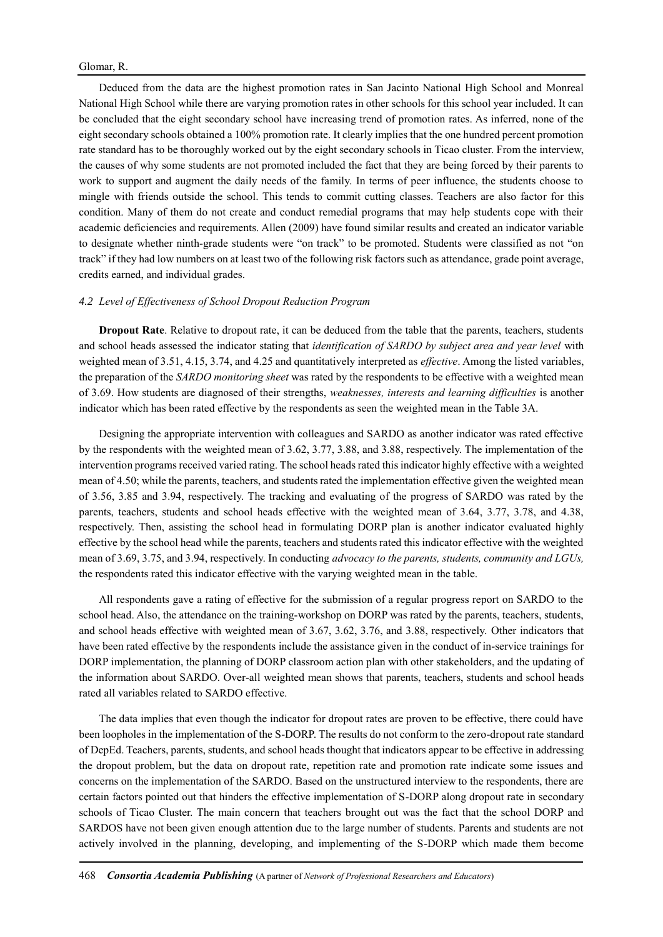Deduced from the data are the highest promotion rates in San Jacinto National High School and Monreal National High School while there are varying promotion rates in other schools for this school year included. It can be concluded that the eight secondary school have increasing trend of promotion rates. As inferred, none of the eight secondary schools obtained a 100% promotion rate. It clearly implies that the one hundred percent promotion rate standard has to be thoroughly worked out by the eight secondary schools in Ticao cluster. From the interview, the causes of why some students are not promoted included the fact that they are being forced by their parents to work to support and augment the daily needs of the family. In terms of peer influence, the students choose to mingle with friends outside the school. This tends to commit cutting classes. Teachers are also factor for this condition. Many of them do not create and conduct remedial programs that may help students cope with their academic deficiencies and requirements. Allen (2009) have found similar results and created an indicator variable to designate whether ninth-grade students were "on track" to be promoted. Students were classified as not "on track" if they had low numbers on at least two of the following risk factors such as attendance, grade point average, credits earned, and individual grades.

#### *4.2 Level of Effectiveness of School Dropout Reduction Program*

**Dropout Rate**. Relative to dropout rate, it can be deduced from the table that the parents, teachers, students and school heads assessed the indicator stating that *identification of SARDO by subject area and year level* with weighted mean of 3.51, 4.15, 3.74, and 4.25 and quantitatively interpreted as *effective*. Among the listed variables, the preparation of the *SARDO monitoring sheet* was rated by the respondents to be effective with a weighted mean of 3.69. How students are diagnosed of their strengths, *weaknesses, interests and learning difficulties* is another indicator which has been rated effective by the respondents as seen the weighted mean in the Table 3A.

Designing the appropriate intervention with colleagues and SARDO as another indicator was rated effective by the respondents with the weighted mean of 3.62, 3.77, 3.88, and 3.88, respectively. The implementation of the intervention programs received varied rating. The school heads rated this indicator highly effective with a weighted mean of 4.50; while the parents, teachers, and students rated the implementation effective given the weighted mean of 3.56, 3.85 and 3.94, respectively. The tracking and evaluating of the progress of SARDO was rated by the parents, teachers, students and school heads effective with the weighted mean of 3.64, 3.77, 3.78, and 4.38, respectively. Then, assisting the school head in formulating DORP plan is another indicator evaluated highly effective by the school head while the parents, teachers and students rated this indicator effective with the weighted mean of 3.69, 3.75, and 3.94, respectively. In conducting *advocacy to the parents, students, community and LGUs,*  the respondents rated this indicator effective with the varying weighted mean in the table.

All respondents gave a rating of effective for the submission of a regular progress report on SARDO to the school head. Also, the attendance on the training-workshop on DORP was rated by the parents, teachers, students, and school heads effective with weighted mean of 3.67, 3.62, 3.76, and 3.88, respectively. Other indicators that have been rated effective by the respondents include the assistance given in the conduct of in-service trainings for DORP implementation, the planning of DORP classroom action plan with other stakeholders, and the updating of the information about SARDO. Over-all weighted mean shows that parents, teachers, students and school heads rated all variables related to SARDO effective.

The data implies that even though the indicator for dropout rates are proven to be effective, there could have been loopholes in the implementation of the S-DORP. The results do not conform to the zero-dropout rate standard of DepEd. Teachers, parents, students, and school heads thought that indicators appear to be effective in addressing the dropout problem, but the data on dropout rate, repetition rate and promotion rate indicate some issues and concerns on the implementation of the SARDO. Based on the unstructured interview to the respondents, there are certain factors pointed out that hinders the effective implementation of S-DORP along dropout rate in secondary schools of Ticao Cluster. The main concern that teachers brought out was the fact that the school DORP and SARDOS have not been given enough attention due to the large number of students. Parents and students are not actively involved in the planning, developing, and implementing of the S-DORP which made them become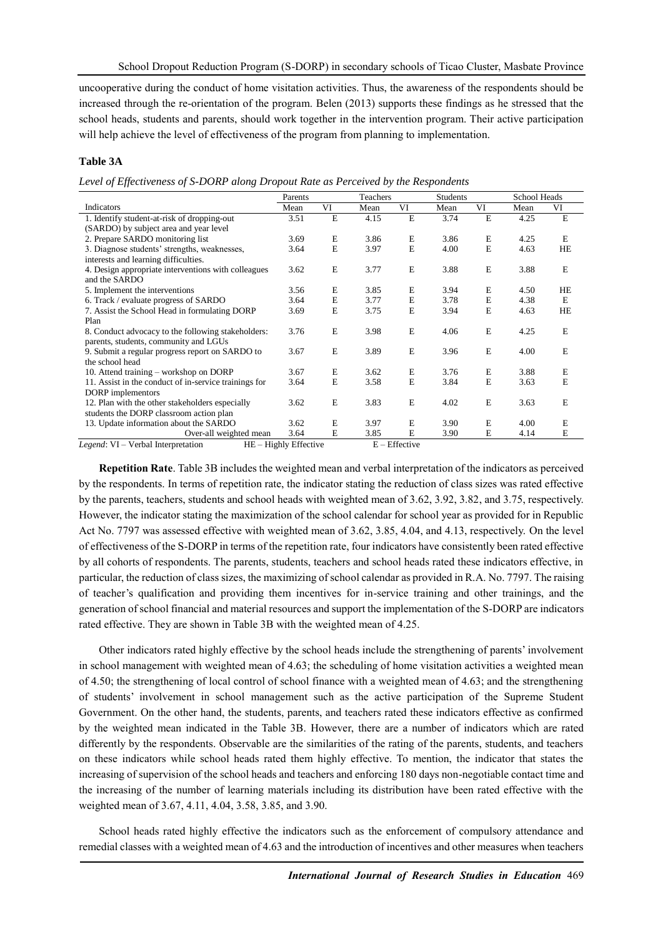uncooperative during the conduct of home visitation activities. Thus, the awareness of the respondents should be increased through the re-orientation of the program. Belen (2013) supports these findings as he stressed that the school heads, students and parents, should work together in the intervention program. Their active participation will help achieve the level of effectiveness of the program from planning to implementation.

## **Table 3A**

*Level of Effectiveness of S-DORP along Dropout Rate as Perceived by the Respondents*

|                                                       | Parents               |             | Teachers |                 | <b>Students</b> |    | School Heads |    |
|-------------------------------------------------------|-----------------------|-------------|----------|-----------------|-----------------|----|--------------|----|
| Indicators                                            | Mean                  | VI          | Mean     | VI              | Mean            | VI | Mean         | VI |
| 1. Identify student-at-risk of dropping-out           | 3.51                  | E           | 4.15     | E               | 3.74            | E  | 4.25         | E  |
| (SARDO) by subject area and year level                |                       |             |          |                 |                 |    |              |    |
| 2. Prepare SARDO monitoring list                      | 3.69                  | E           | 3.86     | E               | 3.86            | E  | 4.25         | E  |
| 3. Diagnose students' strengths, weaknesses,          | 3.64                  | E           | 3.97     | E               | 4.00            | E  | 4.63         | HE |
| interests and learning difficulties.                  |                       |             |          |                 |                 |    |              |    |
| 4. Design appropriate interventions with colleagues   | 3.62                  | $\mathbf E$ | 3.77     | E               | 3.88            | E  | 3.88         | E  |
| and the SARDO                                         |                       |             |          |                 |                 |    |              |    |
| 5. Implement the interventions                        | 3.56                  | E           | 3.85     | E               | 3.94            | E  | 4.50         | HE |
| 6. Track / evaluate progress of SARDO                 | 3.64                  | $\mathbf E$ | 3.77     | $\mathbf E$     | 3.78            | E  | 4.38         | E  |
| 7. Assist the School Head in formulating DORP         | 3.69                  | E           | 3.75     | E               | 3.94            | E  | 4.63         | HE |
| Plan                                                  |                       |             |          |                 |                 |    |              |    |
| 8. Conduct advocacy to the following stakeholders:    | 3.76                  | E           | 3.98     | E               | 4.06            | E  | 4.25         | E  |
| parents, students, community and LGUs                 |                       |             |          |                 |                 |    |              |    |
| 9. Submit a regular progress report on SARDO to       | 3.67                  | E           | 3.89     | E               | 3.96            | E  | 4.00         | E  |
| the school head                                       |                       |             |          |                 |                 |    |              |    |
| 10. Attend training – workshop on DORP                | 3.67                  | E           | 3.62     | E               | 3.76            | E  | 3.88         | E  |
| 11. Assist in the conduct of in-service trainings for | 3.64                  | E           | 3.58     | E               | 3.84            | E  | 3.63         | E  |
| DORP implementors                                     |                       |             |          |                 |                 |    |              |    |
| 12. Plan with the other stakeholders especially       | 3.62                  | E           | 3.83     | E               | 4.02            | E  | 3.63         | E  |
| students the DORP classroom action plan               |                       |             |          |                 |                 |    |              |    |
| 13. Update information about the SARDO                | 3.62                  | E           | 3.97     | E               | 3.90            | E  | 4.00         | E  |
| Over-all weighted mean                                | 3.64                  | E           | 3.85     | E               | 3.90            | E  | 4.14         | E  |
| Legend: VI – Verbal Interpretation                    | HE - Highly Effective |             |          | $E$ – Effective |                 |    |              |    |

**Repetition Rate**. Table 3B includes the weighted mean and verbal interpretation of the indicators as perceived by the respondents. In terms of repetition rate, the indicator stating the reduction of class sizes was rated effective by the parents, teachers, students and school heads with weighted mean of 3.62, 3.92, 3.82, and 3.75, respectively. However, the indicator stating the maximization of the school calendar for school year as provided for in Republic Act No. 7797 was assessed effective with weighted mean of 3.62, 3.85, 4.04, and 4.13, respectively. On the level of effectiveness of the S-DORP in terms of the repetition rate, four indicators have consistently been rated effective by all cohorts of respondents. The parents, students, teachers and school heads rated these indicators effective, in particular, the reduction of class sizes, the maximizing of school calendar as provided in R.A. No. 7797. The raising of teacher's qualification and providing them incentives for in-service training and other trainings, and the generation of school financial and material resources and support the implementation of the S-DORP are indicators rated effective. They are shown in Table 3B with the weighted mean of 4.25.

Other indicators rated highly effective by the school heads include the strengthening of parents' involvement in school management with weighted mean of 4.63; the scheduling of home visitation activities a weighted mean of 4.50; the strengthening of local control of school finance with a weighted mean of 4.63; and the strengthening of students' involvement in school management such as the active participation of the Supreme Student Government. On the other hand, the students, parents, and teachers rated these indicators effective as confirmed by the weighted mean indicated in the Table 3B. However, there are a number of indicators which are rated differently by the respondents. Observable are the similarities of the rating of the parents, students, and teachers on these indicators while school heads rated them highly effective. To mention, the indicator that states the increasing of supervision of the school heads and teachers and enforcing 180 days non-negotiable contact time and the increasing of the number of learning materials including its distribution have been rated effective with the weighted mean of 3.67, 4.11, 4.04, 3.58, 3.85, and 3.90.

School heads rated highly effective the indicators such as the enforcement of compulsory attendance and remedial classes with a weighted mean of 4.63 and the introduction of incentives and other measures when teachers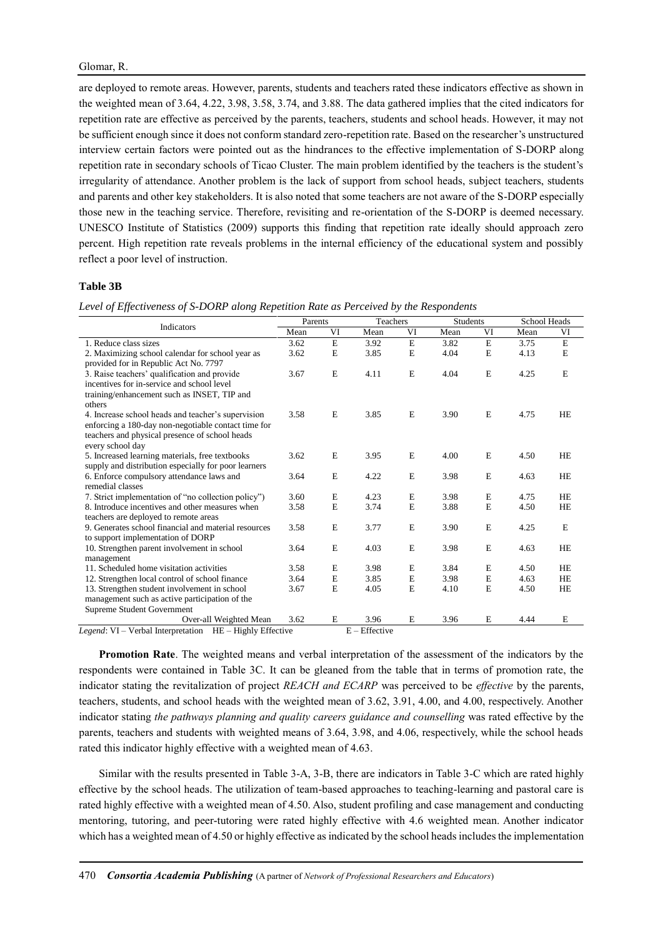are deployed to remote areas. However, parents, students and teachers rated these indicators effective as shown in the weighted mean of 3.64, 4.22, 3.98, 3.58, 3.74, and 3.88. The data gathered implies that the cited indicators for repetition rate are effective as perceived by the parents, teachers, students and school heads. However, it may not be sufficient enough since it does not conform standard zero-repetition rate. Based on the researcher's unstructured interview certain factors were pointed out as the hindrances to the effective implementation of S-DORP along repetition rate in secondary schools of Ticao Cluster. The main problem identified by the teachers is the student's irregularity of attendance. Another problem is the lack of support from school heads, subject teachers, students and parents and other key stakeholders. It is also noted that some teachers are not aware of the S-DORP especially those new in the teaching service. Therefore, revisiting and re-orientation of the S-DORP is deemed necessary. UNESCO Institute of Statistics (2009) supports this finding that repetition rate ideally should approach zero percent. High repetition rate reveals problems in the internal efficiency of the educational system and possibly reflect a poor level of instruction.

## **Table 3B**

*Level of Effectiveness of S-DORP along Repetition Rate as Perceived by the Respondents*

|                                                                                                        | Parents |             | Teachers        |             | <b>Students</b> |             | School Heads |             |
|--------------------------------------------------------------------------------------------------------|---------|-------------|-----------------|-------------|-----------------|-------------|--------------|-------------|
| Indicators                                                                                             | Mean    | VI          | Mean            | VI          | Mean            | VI          | Mean         | VI          |
| 1. Reduce class sizes                                                                                  | 3.62    | $\mathbf E$ | 3.92            | $\mathbf E$ | 3.82            | $\mathbf E$ | 3.75         | $\mathbf E$ |
| 2. Maximizing school calendar for school year as                                                       | 3.62    | E           | 3.85            | E           | 4.04            | E           | 4.13         | E           |
| provided for in Republic Act No. 7797                                                                  |         |             |                 |             |                 |             |              |             |
| 3. Raise teachers' qualification and provide                                                           | 3.67    | $\mathbf E$ | 4.11            | E           | 4.04            | $\mathbf E$ | 4.25         | E           |
| incentives for in-service and school level                                                             |         |             |                 |             |                 |             |              |             |
| training/enhancement such as INSET, TIP and                                                            |         |             |                 |             |                 |             |              |             |
| others                                                                                                 |         |             |                 |             |                 |             |              |             |
| 4. Increase school heads and teacher's supervision                                                     | 3.58    | E           | 3.85            | E           | 3.90            | E           | 4.75         | <b>HE</b>   |
| enforcing a 180-day non-negotiable contact time for                                                    |         |             |                 |             |                 |             |              |             |
| teachers and physical presence of school heads                                                         |         |             |                 |             |                 |             |              |             |
| every school day                                                                                       |         |             |                 |             |                 |             |              |             |
| 5. Increased learning materials, free textbooks                                                        | 3.62    | E           | 3.95            | E           | 4.00            | E           | 4.50         | <b>HE</b>   |
| supply and distribution especially for poor learners                                                   |         |             |                 |             |                 |             |              |             |
| 6. Enforce compulsory attendance laws and<br>remedial classes                                          | 3.64    | E           | 4.22            | E           | 3.98            | E           | 4.63         | HE          |
|                                                                                                        | 3.60    | E           | 4.23            | E           | 3.98            | E           | 4.75         | HE          |
| 7. Strict implementation of "no collection policy")<br>8. Introduce incentives and other measures when | 3.58    | E           | 3.74            | E           | 3.88            | E           | 4.50         | <b>HE</b>   |
| teachers are deployed to remote areas                                                                  |         |             |                 |             |                 |             |              |             |
| 9. Generates school financial and material resources                                                   | 3.58    | E           | 3.77            | E           | 3.90            | E           | 4.25         | E           |
| to support implementation of DORP                                                                      |         |             |                 |             |                 |             |              |             |
| 10. Strengthen parent involvement in school                                                            | 3.64    | E           | 4.03            | E           | 3.98            | E           | 4.63         | <b>HE</b>   |
| management                                                                                             |         |             |                 |             |                 |             |              |             |
| 11. Scheduled home visitation activities                                                               | 3.58    | E           | 3.98            | E           | 3.84            | E           | 4.50         | <b>HE</b>   |
| 12. Strengthen local control of school finance                                                         | 3.64    | E           | 3.85            | E           | 3.98            | E           | 4.63         | HE          |
| 13. Strengthen student involvement in school                                                           | 3.67    | E           | 4.05            | E           | 4.10            | E           | 4.50         | HE          |
| management such as active participation of the                                                         |         |             |                 |             |                 |             |              |             |
| Supreme Student Government                                                                             |         |             |                 |             |                 |             |              |             |
| Over-all Weighted Mean                                                                                 | 3.62    | E           | 3.96            | E           | 3.96            | E           | 4.44         | Е           |
| Legend: VI - Verbal Interpretation HE - Highly Effective                                               |         |             | $E$ – Effective |             |                 |             |              |             |

**Promotion Rate**. The weighted means and verbal interpretation of the assessment of the indicators by the respondents were contained in Table 3C. It can be gleaned from the table that in terms of promotion rate, the indicator stating the revitalization of project *REACH and ECARP* was perceived to be *effective* by the parents, teachers, students, and school heads with the weighted mean of 3.62, 3.91, 4.00, and 4.00, respectively. Another indicator stating *the pathways planning and quality careers guidance and counselling* was rated effective by the parents, teachers and students with weighted means of 3.64, 3.98, and 4.06, respectively, while the school heads rated this indicator highly effective with a weighted mean of 4.63.

Similar with the results presented in Table 3-A, 3-B, there are indicators in Table 3-C which are rated highly effective by the school heads. The utilization of team-based approaches to teaching-learning and pastoral care is rated highly effective with a weighted mean of 4.50. Also, student profiling and case management and conducting mentoring, tutoring, and peer-tutoring were rated highly effective with 4.6 weighted mean. Another indicator which has a weighted mean of 4.50 or highly effective as indicated by the school heads includes the implementation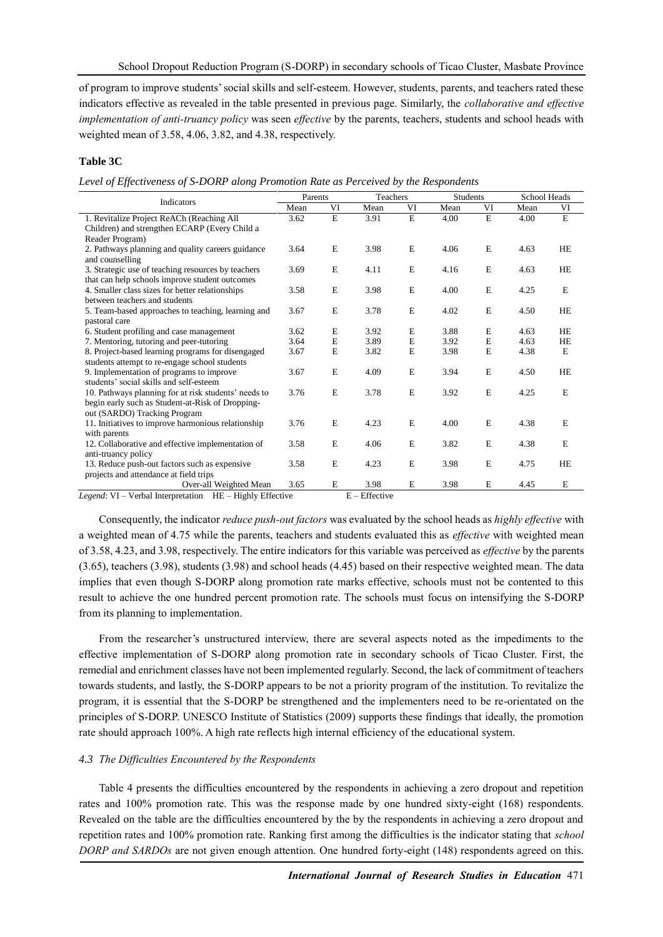of program to improve students' social skills and self-esteem. However, students, parents, and teachers rated these indicators effective as revealed in the table presented in previous page. Similarly, the *collaborative and effective implementation of anti-truancy policy* was seen *effective* by the parents, teachers, students and school heads with weighted mean of 3.58, 4.06, 3.82, and 4.38, respectively.

## **Table 3C**

*Level of Effectiveness of S-DORP along Promotion Rate as Perceived by the Respondents*

| Indicators                                               | Parents |             | Teachers        |             | <b>Students</b> |             | <b>School Heads</b> |             |
|----------------------------------------------------------|---------|-------------|-----------------|-------------|-----------------|-------------|---------------------|-------------|
|                                                          | Mean    | VI          | Mean            | VI          | Mean            | VI          | Mean                | VI          |
| 1. Revitalize Project ReACh (Reaching All                | 3.62    | $\mathbf E$ | 3.91            | E           | 4.00            | E           | 4.00                | $\mathbf E$ |
| Children) and strengthen ECARP (Every Child a            |         |             |                 |             |                 |             |                     |             |
| Reader Program)                                          |         |             |                 |             |                 |             |                     |             |
| 2. Pathways planning and quality careers guidance        | 3.64    | E           | 3.98            | E           | 4.06            | E           | 4.63                | HE          |
| and counselling                                          |         |             |                 |             |                 |             |                     |             |
| 3. Strategic use of teaching resources by teachers       | 3.69    | E           | 4.11            | E           | 4.16            | E           | 4.63                | <b>HE</b>   |
| that can help schools improve student outcomes           |         |             |                 |             |                 |             |                     |             |
| 4. Smaller class sizes for better relationships          | 3.58    | E           | 3.98            | E           | 4.00            | E           | 4.25                | E           |
| between teachers and students                            |         |             |                 |             |                 |             |                     |             |
| 5. Team-based approaches to teaching, learning and       | 3.67    | E           | 3.78            | E           | 4.02            | E           | 4.50                | <b>HE</b>   |
| pastoral care                                            |         |             |                 |             |                 |             |                     |             |
| 6. Student profiling and case management                 | 3.62    | E           | 3.92            | E           | 3.88            | E           | 4.63                | <b>HE</b>   |
| 7. Mentoring, tutoring and peer-tutoring                 | 3.64    | $\mathbf E$ | 3.89            | E           | 3.92            | $\mathbf E$ | 4.63                | HE          |
| 8. Project-based learning programs for disengaged        | 3.67    | E           | 3.82            | $\mathbf E$ | 3.98            | E           | 4.38                | E           |
| students attempt to re-engage school students            |         |             |                 |             |                 |             |                     |             |
| 9. Implementation of programs to improve                 | 3.67    | E           | 4.09            | E           | 3.94            | E           | 4.50                | <b>HE</b>   |
| students' social skills and self-esteem                  |         |             |                 |             |                 |             |                     |             |
| 10. Pathways planning for at risk students' needs to     | 3.76    | $\mathbf E$ | 3.78            | E           | 3.92            | E           | 4.25                | E           |
| begin early such as Student-at-Risk of Dropping-         |         |             |                 |             |                 |             |                     |             |
| out (SARDO) Tracking Program                             |         |             |                 |             |                 |             |                     |             |
| 11. Initiatives to improve harmonious relationship       | 3.76    | E           | 4.23            | E           | 4.00            | E           | 4.38                | E           |
| with parents                                             |         |             |                 |             |                 |             |                     |             |
| 12. Collaborative and effective implementation of        | 3.58    | $\mathbf E$ | 4.06            | E           | 3.82            | E           | 4.38                | E           |
| anti-truancy policy                                      |         |             |                 |             |                 |             |                     |             |
| 13. Reduce push-out factors such as expensive            | 3.58    | E           | 4.23            | E           | 3.98            | E           | 4.75                | <b>HE</b>   |
| projects and attendance at field trips                   |         |             |                 |             |                 |             |                     |             |
| Over-all Weighted Mean                                   | 3.65    | E           | 3.98            | E           | 3.98            | E           | 4.45                | E           |
| Legend: VI - Verbal Interpretation HE - Highly Effective |         |             | $E$ – Effective |             |                 |             |                     |             |

Consequently, the indicator *reduce push-out factors* was evaluated by the school heads as *highly effective* with a weighted mean of 4.75 while the parents, teachers and students evaluated this as *effective* with weighted mean of 3.58, 4.23, and 3.98, respectively. The entire indicators for this variable was perceived as *effective* by the parents (3.65), teachers (3.98), students (3.98) and school heads (4.45) based on their respective weighted mean. The data implies that even though S-DORP along promotion rate marks effective, schools must not be contented to this result to achieve the one hundred percent promotion rate. The schools must focus on intensifying the S-DORP from its planning to implementation.

From the researcher's unstructured interview, there are several aspects noted as the impediments to the effective implementation of S-DORP along promotion rate in secondary schools of Ticao Cluster. First, the remedial and enrichment classes have not been implemented regularly. Second, the lack of commitment of teachers towards students, and lastly, the S-DORP appears to be not a priority program of the institution. To revitalize the program, it is essential that the S-DORP be strengthened and the implementers need to be re-orientated on the principles of S-DORP. UNESCO Institute of Statistics (2009) supports these findings that ideally, the promotion rate should approach 100%. A high rate reflects high internal efficiency of the educational system.

## *4.3 The Difficulties Encountered by the Respondents*

Table 4 presents the difficulties encountered by the respondents in achieving a zero dropout and repetition rates and 100% promotion rate. This was the response made by one hundred sixty-eight (168) respondents. Revealed on the table are the difficulties encountered by the by the respondents in achieving a zero dropout and repetition rates and 100% promotion rate. Ranking first among the difficulties is the indicator stating that *school DORP and SARDOs* are not given enough attention. One hundred forty-eight (148) respondents agreed on this.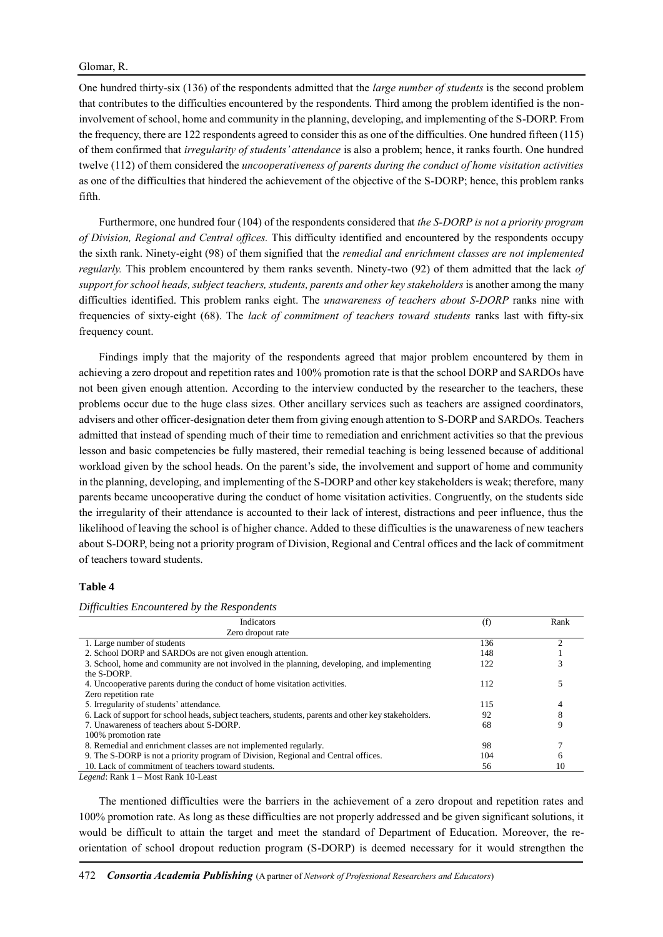One hundred thirty-six (136) of the respondents admitted that the *large number of students* is the second problem that contributes to the difficulties encountered by the respondents. Third among the problem identified is the noninvolvement of school, home and community in the planning, developing, and implementing of the S-DORP. From the frequency, there are 122 respondents agreed to consider this as one of the difficulties. One hundred fifteen (115) of them confirmed that *irregularity of students' attendance* is also a problem; hence, it ranks fourth. One hundred twelve (112) of them considered the *uncooperativeness of parents during the conduct of home visitation activities* as one of the difficulties that hindered the achievement of the objective of the S-DORP; hence, this problem ranks fifth.

Furthermore, one hundred four (104) of the respondents considered that *the S-DORP is not a priority program of Division, Regional and Central offices.* This difficulty identified and encountered by the respondents occupy the sixth rank. Ninety-eight (98) of them signified that the *remedial and enrichment classes are not implemented regularly.* This problem encountered by them ranks seventh. Ninety-two (92) of them admitted that the lack *of support for school heads, subject teachers, students, parents and other key stakeholders* is another among the many difficulties identified. This problem ranks eight. The *unawareness of teachers about S-DORP* ranks nine with frequencies of sixty-eight (68). The *lack of commitment of teachers toward students* ranks last with fifty-six frequency count.

Findings imply that the majority of the respondents agreed that major problem encountered by them in achieving a zero dropout and repetition rates and 100% promotion rate is that the school DORP and SARDOs have not been given enough attention. According to the interview conducted by the researcher to the teachers, these problems occur due to the huge class sizes. Other ancillary services such as teachers are assigned coordinators, advisers and other officer-designation deter them from giving enough attention to S-DORP and SARDOs. Teachers admitted that instead of spending much of their time to remediation and enrichment activities so that the previous lesson and basic competencies be fully mastered, their remedial teaching is being lessened because of additional workload given by the school heads. On the parent's side, the involvement and support of home and community in the planning, developing, and implementing of the S-DORP and other key stakeholders is weak; therefore, many parents became uncooperative during the conduct of home visitation activities. Congruently, on the students side the irregularity of their attendance is accounted to their lack of interest, distractions and peer influence, thus the likelihood of leaving the school is of higher chance. Added to these difficulties is the unawareness of new teachers about S-DORP, being not a priority program of Division, Regional and Central offices and the lack of commitment of teachers toward students.

#### **Table 4**

*Difficulties Encountered by the Respondents*

| Indicators                                                                                           | (f) | Rank |
|------------------------------------------------------------------------------------------------------|-----|------|
| Zero dropout rate                                                                                    |     |      |
| 1. Large number of students                                                                          | 136 |      |
| 2. School DORP and SARDOs are not given enough attention.                                            | 148 |      |
| 3. School, home and community are not involved in the planning, developing, and implementing         | 122 |      |
| the S-DORP.                                                                                          |     |      |
| 4. Uncooperative parents during the conduct of home visitation activities.                           | 112 |      |
| Zero repetition rate                                                                                 |     |      |
| 5. Irregularity of students' attendance.                                                             | 115 |      |
| 6. Lack of support for school heads, subject teachers, students, parents and other key stakeholders. | 92  |      |
| 7. Unawareness of teachers about S-DORP.                                                             | 68  |      |
| 100% promotion rate                                                                                  |     |      |
| 8. Remedial and enrichment classes are not implemented regularly.                                    | 98  |      |
| 9. The S-DORP is not a priority program of Division, Regional and Central offices.                   | 104 |      |
| 10. Lack of commitment of teachers toward students.                                                  | 56  | 10   |
| Legend: Rank 1 – Most Rank 10-Least                                                                  |     |      |

The mentioned difficulties were the barriers in the achievement of a zero dropout and repetition rates and 100% promotion rate. As long as these difficulties are not properly addressed and be given significant solutions, it would be difficult to attain the target and meet the standard of Department of Education. Moreover, the reorientation of school dropout reduction program (S-DORP) is deemed necessary for it would strengthen the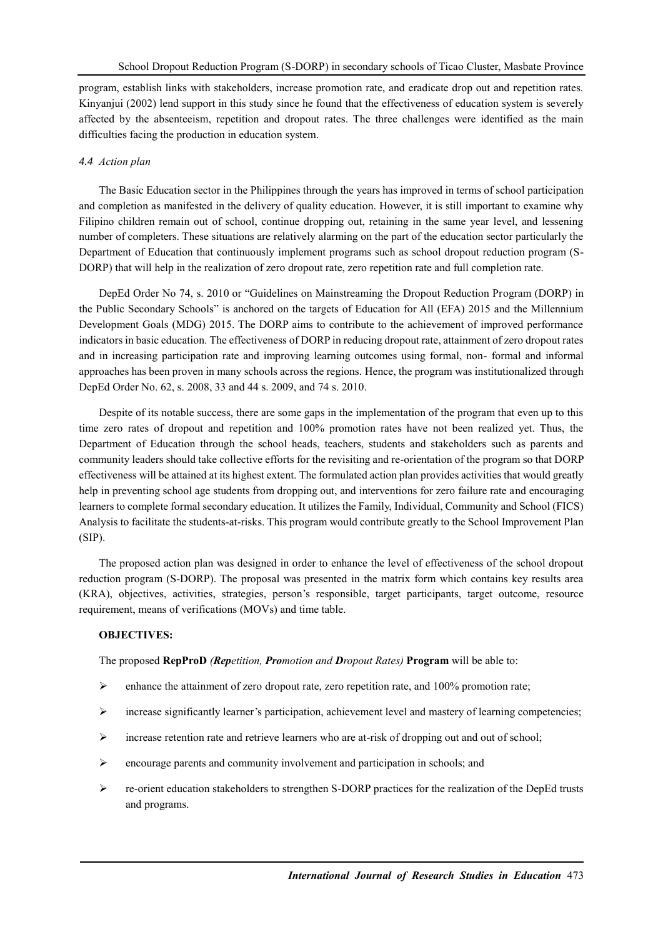program, establish links with stakeholders, increase promotion rate, and eradicate drop out and repetition rates. Kinyanjui (2002) lend support in this study since he found that the effectiveness of education system is severely affected by the absenteeism, repetition and dropout rates. The three challenges were identified as the main difficulties facing the production in education system.

## *4.4 Action plan*

The Basic Education sector in the Philippines through the years has improved in terms of school participation and completion as manifested in the delivery of quality education. However, it is still important to examine why Filipino children remain out of school, continue dropping out, retaining in the same year level, and lessening number of completers. These situations are relatively alarming on the part of the education sector particularly the Department of Education that continuously implement programs such as school dropout reduction program (S-DORP) that will help in the realization of zero dropout rate, zero repetition rate and full completion rate.

DepEd Order No 74, s. 2010 or "Guidelines on Mainstreaming the Dropout Reduction Program (DORP) in the Public Secondary Schools" is anchored on the targets of Education for All (EFA) 2015 and the Millennium Development Goals (MDG) 2015. The DORP aims to contribute to the achievement of improved performance indicators in basic education. The effectiveness of DORP in reducing dropout rate, attainment of zero dropout rates and in increasing participation rate and improving learning outcomes using formal, non- formal and informal approaches has been proven in many schools across the regions. Hence, the program was institutionalized through DepEd Order No. 62, s. 2008, 33 and 44 s. 2009, and 74 s. 2010.

Despite of its notable success, there are some gaps in the implementation of the program that even up to this time zero rates of dropout and repetition and 100% promotion rates have not been realized yet. Thus, the Department of Education through the school heads, teachers, students and stakeholders such as parents and community leaders should take collective efforts for the revisiting and re-orientation of the program so that DORP effectiveness will be attained at its highest extent. The formulated action plan provides activities that would greatly help in preventing school age students from dropping out, and interventions for zero failure rate and encouraging learners to complete formal secondary education. It utilizes the Family, Individual, Community and School (FICS) Analysis to facilitate the students-at-risks. This program would contribute greatly to the School Improvement Plan (SIP).

The proposed action plan was designed in order to enhance the level of effectiveness of the school dropout reduction program (S-DORP). The proposal was presented in the matrix form which contains key results area (KRA), objectives, activities, strategies, person's responsible, target participants, target outcome, resource requirement, means of verifications (MOVs) and time table.

## **OBJECTIVES:**

The proposed **RepProD** *(Repetition, Promotion and Dropout Rates)* **Program** will be able to:

- $\triangleright$  enhance the attainment of zero dropout rate, zero repetition rate, and 100% promotion rate;
- $\triangleright$  increase significantly learner's participation, achievement level and mastery of learning competencies;
- $\triangleright$  increase retention rate and retrieve learners who are at-risk of dropping out and out of school:
- $\triangleright$  encourage parents and community involvement and participation in schools; and
- $\triangleright$  re-orient education stakeholders to strengthen S-DORP practices for the realization of the DepEd trusts and programs.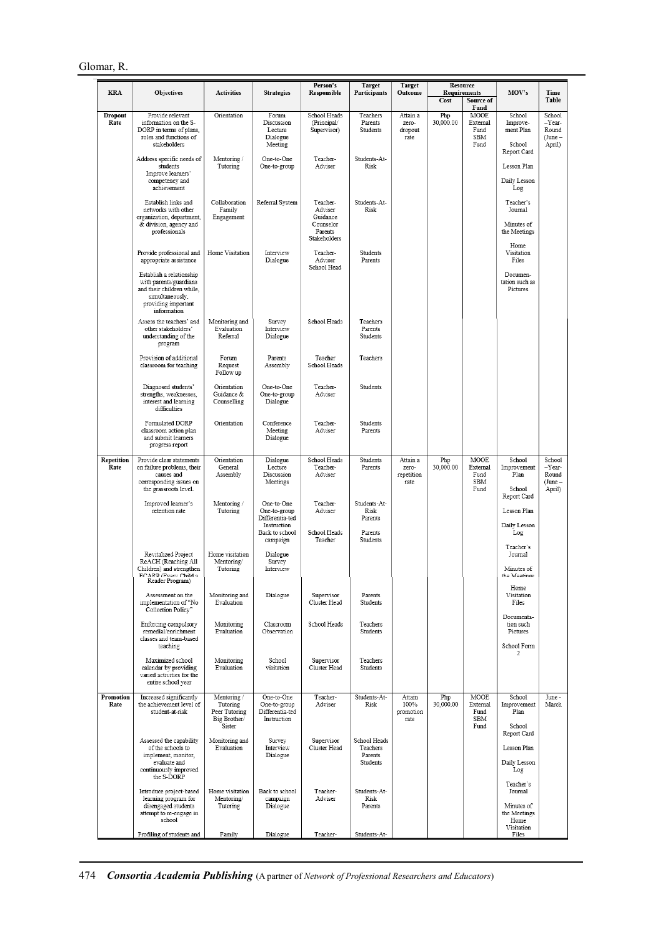|                        |                                                                                                                                                                                                |                                                                    |                                                                                            | Person's                                                                | <b>Target</b>                                          | <b>Target</b>                           |                      | Resource                                       |                                                                       |                                               |
|------------------------|------------------------------------------------------------------------------------------------------------------------------------------------------------------------------------------------|--------------------------------------------------------------------|--------------------------------------------------------------------------------------------|-------------------------------------------------------------------------|--------------------------------------------------------|-----------------------------------------|----------------------|------------------------------------------------|-----------------------------------------------------------------------|-----------------------------------------------|
| <b>KRA</b>             | Objectives                                                                                                                                                                                     | <b>Activities</b>                                                  | <b>Strategies</b>                                                                          | Responsible                                                             | Participants                                           | Outcome                                 | Requirements<br>Cost | Source of<br>Fund                              | MOV's                                                                 | Time<br>Table                                 |
| <b>Dropout</b><br>Rate | Provide relevant<br>information on the S-<br>DORP in terms of plans,<br>roles and functions of<br>stakeholders                                                                                 | Orientation                                                        | Forum<br>Discussion<br>Lecture<br>Dialogue<br>Meeting                                      | School Heads<br>(Principal/<br>Supervisor)                              | Teachers<br>Parents<br>Students                        | Attain a<br>zero-<br>dropout<br>rate    | Php<br>30,000.00     | MOOE<br>External<br>Fund<br>SBM<br>Fund        | School<br>Improve-<br>ment Plan<br>School                             | School<br>-Year-<br>Round<br>(June-<br>April) |
|                        | Address specific needs of<br>students<br>Improve learners'<br>competency and<br>achievement                                                                                                    | Mentoring /<br>Tutoring                                            | One-to-One<br>One-to-group                                                                 | Teacher-<br>Adviser                                                     | Students-At-<br>Risk                                   |                                         |                      |                                                | Report Card<br>Lesson Plan<br>Daily Lesson<br>Log                     |                                               |
|                        | Establish links and<br>networks with other<br>organization, department,<br>& division, agency and<br>professionals                                                                             | Collaboration<br>Family<br>Engagement                              | Referral System                                                                            | Teacher-<br>Adviser<br>Guidance<br>Counselor<br>Parents<br>Stakeholders | Students-At-<br>Risk                                   |                                         |                      |                                                | Teacher's<br>Journal<br>Minutes of<br>the Meetings                    |                                               |
|                        | Provide professional and<br>appropriate assistance<br>Establish a relationship<br>with parents/guardians<br>and their children while,<br>simultaneously,<br>providing important<br>information | Home Visitation                                                    | Interview<br>Dialogue                                                                      | Teacher-<br>Adviser<br>School Head                                      | Students<br>Parents                                    |                                         |                      |                                                | Home<br>Visitation<br>Files<br>Documen-<br>tation such as<br>Pictures |                                               |
|                        | Assess the teachers' and<br>other stakeholders'<br>understanding of the<br>program                                                                                                             | Monitoring and<br>Evaluation<br>Referral                           | Survey<br>Interview<br>Dialogue                                                            | School Heads                                                            | Teachers<br>Parents<br>Students                        |                                         |                      |                                                |                                                                       |                                               |
|                        | Provision of additional<br>classroom for teaching                                                                                                                                              | Forum<br>Request<br>Follow up                                      | Parents<br>Assembly                                                                        | Teacher<br>School Heads                                                 | Teachers                                               |                                         |                      |                                                |                                                                       |                                               |
|                        | Diagnosed students'<br>strengths, weaknesses,<br>interest and learning<br>difficulties                                                                                                         | Orientation<br>Guidance &<br>Counselling                           | One-to-One<br>One-to-group<br>Dialogue                                                     | Teacher-<br>Adviser                                                     | Students                                               |                                         |                      |                                                |                                                                       |                                               |
|                        | Formulated DORP<br>classroom action plan<br>and submit learners<br>progress report                                                                                                             | Orientation                                                        | Conference<br>Meeting<br>Dialogue                                                          | Teacher-<br>Adviser                                                     | Students<br>Parents                                    |                                         |                      |                                                |                                                                       |                                               |
| Repetition<br>Rate     | Provide clear statements<br>on failure problems, their<br>causes and<br>corresponding issues on<br>the grassroots level.                                                                       | Orientation<br>General<br>Assembly                                 | Dialogue<br>Lecture<br>Discussion<br>Meetings                                              | School Heads<br>Teacher-<br>Adviser                                     | Students<br>Parents                                    | Attain a<br>zero-<br>repetition<br>rate | Php<br>30,000.00     | <b>MOOE</b><br>External<br>Fund<br>SBM<br>Fund | School<br>Improvement<br>Plan<br>School<br>Report Card                | School<br>-Year-<br>Round<br>(June-<br>April) |
|                        | Improved learner's<br>retention rate                                                                                                                                                           | Mentoring /<br>Tutoring                                            | One-to-One<br>One-to-group<br>Differentia-ted<br>Instruction<br>Back to school<br>campaign | Teacher-<br>Adviser<br>School Heads<br>Teacher                          | Students-At-<br>Risk<br>Parents<br>Parents<br>Students |                                         |                      |                                                | Lesson Plan<br>Daily Lesson<br>Log                                    |                                               |
|                        | Revitalized Project<br>ReACH (Reaching All<br>Children) and strengthen<br>ECARP (Every Child a<br>Reader Program)                                                                              | Home visitation<br>Mentoring/<br>Tutoring                          | Dialogue<br>Survey<br>Interview                                                            |                                                                         |                                                        |                                         |                      |                                                | Teacher's<br>Journal<br>Minutes of<br>the Meetings<br>Home            |                                               |
|                        | Assessment on the<br>implementation of "No<br>Collection Policy"                                                                                                                               | Monitoring and<br>Evaluation                                       | Dialogue                                                                                   | Supervisor<br>Cluster Head                                              | Parents<br>Students                                    |                                         |                      |                                                | Visitation<br>Files<br>Documenta-                                     |                                               |
|                        | Enforcing compulsory<br>remedial/enrichment<br>classes and team-based<br>teaching                                                                                                              | Monitoring<br>Evaluation                                           | Classroom<br>Observation                                                                   | School Heads                                                            | Teachers<br>Students                                   |                                         |                      |                                                | tion such<br>Pictures<br>School Form                                  |                                               |
|                        | Maximized school<br>calendar by providing<br>varied activities for the<br>entire school year                                                                                                   | Monitoring<br>Evaluation                                           | School<br>visitation                                                                       | Supervisor<br>Cluster Head                                              | Teachers<br>Students                                   |                                         |                      |                                                | 2                                                                     |                                               |
| Promotion<br>Rate      | Increased significantly<br>the achievement level of<br>student-at-risk                                                                                                                         | Mentoring /<br>Tutoring<br>Peer Tutoring<br>Big Brother/<br>Sister | One-to-One<br>One-to-group<br>Differentia-ted<br>Instruction                               | Teacher-<br>Adviser                                                     | Students-At-<br>Risk                                   | Attain<br>100%<br>promotion<br>rate     | Php<br>30,000.00     | MOOE<br>External<br>Fund<br>SBM<br>Fund        | School<br>Improvement<br>Plan<br>School<br>Report Card                | June -<br>March                               |
|                        | Assessed the capability<br>of the schools to<br>implement, monitor,<br>evaluate and<br>continuously improved<br>the S-DORP                                                                     | Monitoring and<br>Evaluation                                       | Survey<br>Interview<br>Dialogue                                                            | Supervisor<br>Cluster Head                                              | School Heads<br>Teachers<br>Parents<br>Students        |                                         |                      |                                                | Lesson Plan<br>Daily Lesson<br>Log                                    |                                               |
|                        | Introduce project-based<br>learning program for<br>disengaged students<br>attempt to re-engage in<br>school                                                                                    | Home visitation<br>Mentoring/<br>Tutoring                          | Back to school<br>campaign<br>Dialogue                                                     | Teacher-<br>Adviser                                                     | Students-At-<br>Risk<br>Parents                        |                                         |                      |                                                | Teacher's<br>Journal<br>Minutes of<br>the Meetings<br>Home            |                                               |
|                        | Profiling of students and                                                                                                                                                                      | Family                                                             | Dialogue                                                                                   | Teacher-                                                                | Students-At-                                           |                                         |                      |                                                | Visitation<br>Files                                                   |                                               |

474 *Consortia Academia Publishing* (A partner of *Network of Professional Researchers and Educators*)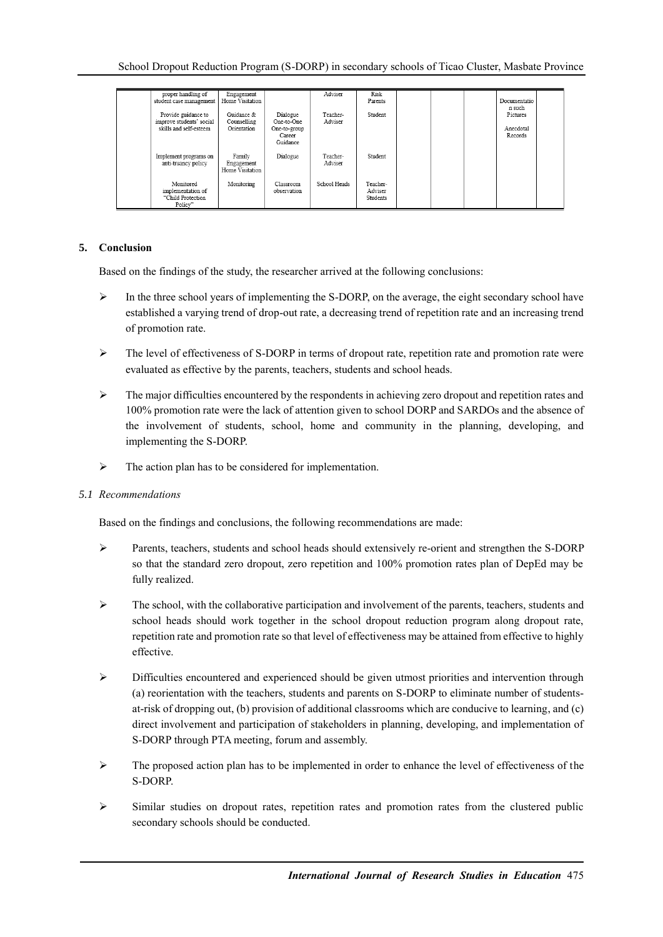| proper handling of<br>student case management                             | Engagement<br>Home Visitation            |                                                              | Adviser             | Risk<br>Parents                 |  | Documentatio<br>n such           |  |
|---------------------------------------------------------------------------|------------------------------------------|--------------------------------------------------------------|---------------------|---------------------------------|--|----------------------------------|--|
| Provide guidance to<br>improve students' social<br>skills and self-esteem | Guidance &<br>Counselling<br>Orientation | Dialogue<br>One-to-One<br>One-to-group<br>Career<br>Guidance | Teacher-<br>Adviser | Student                         |  | Pictures<br>Anecdotal<br>Records |  |
| Implement programs on<br>anti-truancy policy                              | Family<br>Engagement<br>Home Visitation  | Dialogue                                                     | Teacher-<br>Adviser | Student                         |  |                                  |  |
| Monitored<br>implementation of<br>"Child Protection<br>Policy"            | Monitoring                               | Classroom<br>observation                                     | School Heads        | Teacher-<br>Adviser<br>Students |  |                                  |  |

# **5. Conclusion**

Based on the findings of the study, the researcher arrived at the following conclusions:

- $\triangleright$  In the three school years of implementing the S-DORP, on the average, the eight secondary school have established a varying trend of drop-out rate, a decreasing trend of repetition rate and an increasing trend of promotion rate.
- $\triangleright$  The level of effectiveness of S-DORP in terms of dropout rate, repetition rate and promotion rate were evaluated as effective by the parents, teachers, students and school heads.
- $\triangleright$  The major difficulties encountered by the respondents in achieving zero dropout and repetition rates and 100% promotion rate were the lack of attention given to school DORP and SARDOs and the absence of the involvement of students, school, home and community in the planning, developing, and implementing the S-DORP.
- $\triangleright$  The action plan has to be considered for implementation.

# *5.1 Recommendations*

Based on the findings and conclusions, the following recommendations are made:

- Parents, teachers, students and school heads should extensively re-orient and strengthen the S-DORP so that the standard zero dropout, zero repetition and 100% promotion rates plan of DepEd may be fully realized.
- $\triangleright$  The school, with the collaborative participation and involvement of the parents, teachers, students and school heads should work together in the school dropout reduction program along dropout rate, repetition rate and promotion rate so that level of effectiveness may be attained from effective to highly effective.
- $\triangleright$  Difficulties encountered and experienced should be given utmost priorities and intervention through (a) reorientation with the teachers, students and parents on S-DORP to eliminate number of studentsat-risk of dropping out, (b) provision of additional classrooms which are conducive to learning, and (c) direct involvement and participation of stakeholders in planning, developing, and implementation of S-DORP through PTA meeting, forum and assembly.
- $\triangleright$  The proposed action plan has to be implemented in order to enhance the level of effectiveness of the S-DORP.
- $\triangleright$  Similar studies on dropout rates, repetition rates and promotion rates from the clustered public secondary schools should be conducted.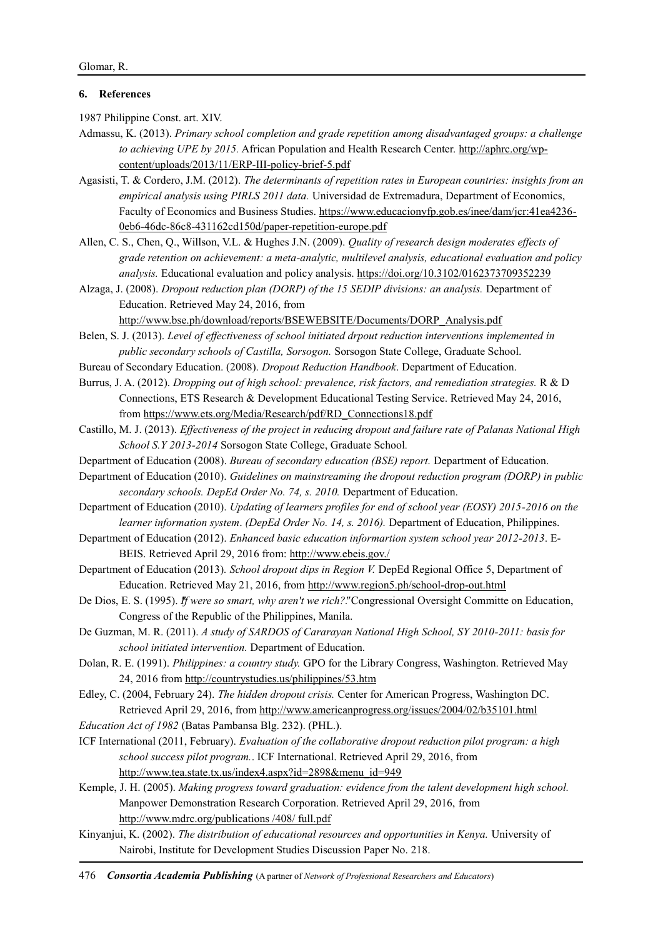# **6. References**

1987 Philippine Const. art. XIV.

- Admassu, K. (2013). *Primary school completion and grade repetition among disadvantaged groups: a challenge to achieving UPE by 2015.* African Population and Health Research Center. [http://aphrc.org/wp](http://aphrc.org/wp-content/uploads/2013/11/ERP-III-policy-brief-5.pdf)[content/uploads/2013/11/ERP-III-policy-brief-5.pdf](http://aphrc.org/wp-content/uploads/2013/11/ERP-III-policy-brief-5.pdf)
- Agasisti, T. & Cordero, J.M. (2012). *The determinants of repetition rates in European countries: insights from an empirical analysis using PIRLS 2011 data.* Universidad de Extremadura, Department of Economics, Faculty of Economics and Business Studies[. https://www.educacionyfp.gob.es/inee/dam/jcr:41ea4236-](https://www.educacionyfp.gob.es/inee/dam/jcr:41ea4236-0eb6-46dc-86c8-431162cd150d/paper-repetition-europe.pdf) [0eb6-46dc-86c8-431162cd150d/paper-repetition-europe.pdf](https://www.educacionyfp.gob.es/inee/dam/jcr:41ea4236-0eb6-46dc-86c8-431162cd150d/paper-repetition-europe.pdf)
- Allen, C. S., Chen, Q., Willson, V.L. & Hughes J.N. (2009). *Quality of research design moderates effects of grade retention on achievement: a meta-analytic, multilevel analysis, educational evaluation and policy analysis.* Educational evaluation and policy analysis[. https://doi.org/10.3102/0162373709352239](https://doi.org/10.3102/0162373709352239)
- Alzaga, J. (2008). *Dropout reduction plan (DORP) of the 15 SEDIP divisions: an analysis.* Department of Education. Retrieved May 24, 2016, from [http://www.bse.ph/download/reports/BSEWEBSITE/Documents/DORP\\_Analysis.pdf](http://www.bse.ph/download/reports/BSEWEBSITE/Documents/DORP_Analysis.pdf)
- Belen, S. J. (2013). *Level of effectiveness of school initiated drpout reduction interventions implemented in public secondary schools of Castilla, Sorsogon.* Sorsogon State College, Graduate School.
- Bureau of Secondary Education. (2008). *Dropout Reduction Handbook*. Department of Education.
- Burrus, J. A. (2012). *Dropping out of high school: prevalence, risk factors, and remediation strategies.* R & D Connections, ETS Research & Development Educational Testing Service. Retrieved May 24, 2016, from [https://www.ets.org/Media/Research/pdf/RD\\_Connections18.pdf](https://www.ets.org/Media/Research/pdf/RD_Connections18.pdf)
- Castillo, M. J. (2013). *Effectiveness of the project in reducing dropout and failure rate of Palanas National High School S.Y 2013-2014* Sorsogon State College, Graduate School*.*
- Department of Education (2008). *Bureau of secondary education (BSE) report.* Department of Education.
- Department of Education (2010). *Guidelines on mainstreaming the dropout reduction program (DORP) in public secondary schools. DepEd Order No. 74, s. 2010.* Department of Education.
- Department of Education (2010). *Updating of learners profiles for end of school year (EOSY) 2015-2016 on the learner information system*. *(DepEd Order No. 14, s. 2016).* Department of Education, Philippines.
- Department of Education (2012). *Enhanced basic education informartion system school year 2012-2013*. E-BEIS. Retrieved April 29, 2016 from:<http://www.ebeis.gov./>
- Department of Education (2013)*. School dropout dips in Region V.* DepEd Regional Office 5, Department of Education. Retrieved May 21, 2016, from<http://www.region5.ph/school-drop-out.html>
- De Dios, E. S. (1995). *If were so smart, why aren't we rich?*."Congressional Oversight Committe on Education, Congress of the Republic of the Philippines, Manila.
- De Guzman, M. R. (2011). *A study of SARDOS of Cararayan National High School, SY 2010-2011: basis for school initiated intervention.* Department of Education.
- Dolan, R. E. (1991). *Philippines: a country study.* GPO for the Library Congress, Washington. Retrieved May 24, 2016 from<http://countrystudies.us/philippines/53.htm>
- Edley, C. (2004, February 24). *The hidden dropout crisis.* Center for American Progress, Washington DC. Retrieved April 29, 2016, from<http://www.americanprogress.org/issues/2004/02/b35101.html>
- *Education Act of 1982* (Batas Pambansa Blg. 232). (PHL.).
- ICF International (2011, February). *Evaluation of the collaborative dropout reduction pilot program: a high school success pilot program.*. ICF International. Retrieved April 29, 2016, from [http://www.tea.state.tx.us/index4.aspx?id=2898&menu\\_id=949](http://www.tea.state.tx.us/index4.aspx?id=2898&menu_id=949)
- Kemple, J. H. (2005). *Making progress toward graduation: evidence from the talent development high school.* Manpower Demonstration Research Corporation. Retrieved April 29, 2016, from [http://www.mdrc.org/publications /408/ full.pdf](http://www.mdrc.org/publications%20/408/%20full.pdf)
- Kinyanjui, K. (2002). *The distribution of educational resources and opportunities in Kenya.* University of Nairobi, Institute for Development Studies Discussion Paper No. 218.